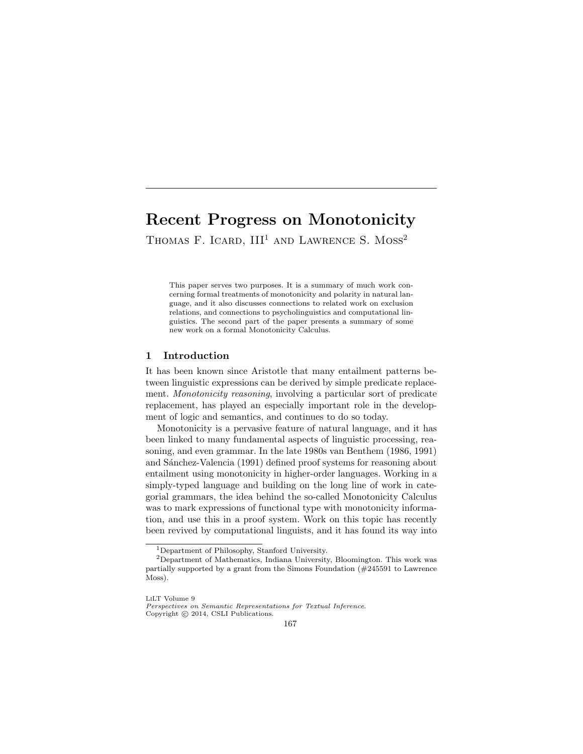# Recent Progress on Monotonicity

THOMAS F. ICARD,  $III<sup>1</sup>$  AND LAWRENCE S.  $Moss<sup>2</sup>$ 

This paper serves two purposes. It is a summary of much work concerning formal treatments of monotonicity and polarity in natural language, and it also discusses connections to related work on exclusion relations, and connections to psycholinguistics and computational linguistics. The second part of the paper presents a summary of some new work on a formal Monotonicity Calculus.

# 1 Introduction

It has been known since Aristotle that many entailment patterns between linguistic expressions can be derived by simple predicate replacement. *Monotonicity reasoning*, involving a particular sort of predicate replacement, has played an especially important role in the development of logic and semantics, and continues to do so today.

Monotonicity is a pervasive feature of natural language, and it has been linked to many fundamental aspects of linguistic processing, reasoning, and even grammar. In the late 1980s van Benthem (1986, 1991) and Sánchez-Valencia (1991) defined proof systems for reasoning about entailment using monotonicity in higher-order languages. Working in a simply-typed language and building on the long line of work in categorial grammars, the idea behind the so-called Monotonicity Calculus was to mark expressions of functional type with monotonicity information, and use this in a proof system. Work on this topic has recently been revived by computational linguists, and it has found its way into

*Perspectives on Semantic Representations for Textual Inference*. Copyright  $\odot$  2014, CSLI Publications.

<sup>1</sup>Department of Philosophy, Stanford University.

 $^2$ Department of Mathematics, Indiana University, Bloomington. This work was partially supported by a grant from the Simons Foundation (#245591 to Lawrence Moss).

LiLT Volume 9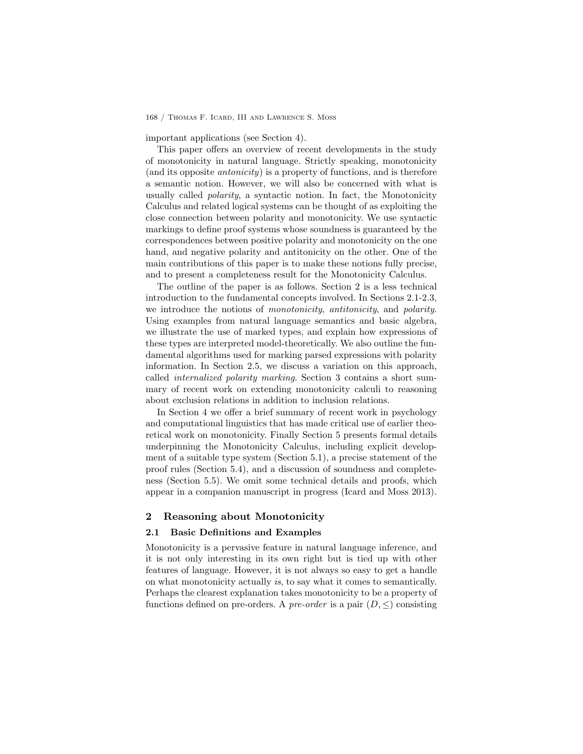important applications (see Section 4).

This paper offers an overview of recent developments in the study of monotonicity in natural language. Strictly speaking, monotonicity (and its opposite *antonicity*) is a property of functions, and is therefore a semantic notion. However, we will also be concerned with what is usually called *polarity*, a syntactic notion. In fact, the Monotonicity Calculus and related logical systems can be thought of as exploiting the close connection between polarity and monotonicity. We use syntactic markings to define proof systems whose soundness is guaranteed by the correspondences between positive polarity and monotonicity on the one hand, and negative polarity and antitonicity on the other. One of the main contributions of this paper is to make these notions fully precise, and to present a completeness result for the Monotonicity Calculus.

The outline of the paper is as follows. Section 2 is a less technical introduction to the fundamental concepts involved. In Sections 2.1-2.3, we introduce the notions of *monotonicity*, *antitonicity*, and *polarity*. Using examples from natural language semantics and basic algebra, we illustrate the use of marked types, and explain how expressions of these types are interpreted model-theoretically. We also outline the fundamental algorithms used for marking parsed expressions with polarity information. In Section 2.5, we discuss a variation on this approach, called *internalized polarity marking*. Section 3 contains a short summary of recent work on extending monotonicity calculi to reasoning about exclusion relations in addition to inclusion relations.

In Section 4 we offer a brief summary of recent work in psychology and computational linguistics that has made critical use of earlier theoretical work on monotonicity. Finally Section 5 presents formal details underpinning the Monotonicity Calculus, including explicit development of a suitable type system (Section 5.1), a precise statement of the proof rules (Section 5.4), and a discussion of soundness and completeness (Section 5.5). We omit some technical details and proofs, which appear in a companion manuscript in progress (Icard and Moss 2013).

### 2 Reasoning about Monotonicity

# 2.1 Basic Definitions and Examples

Monotonicity is a pervasive feature in natural language inference, and it is not only interesting in its own right but is tied up with other features of language. However, it is not always so easy to get a handle on what monotonicity actually *is*, to say what it comes to semantically. Perhaps the clearest explanation takes monotonicity to be a property of functions defined on pre-orders. A *pre-order* is a pair  $(D, \leq)$  consisting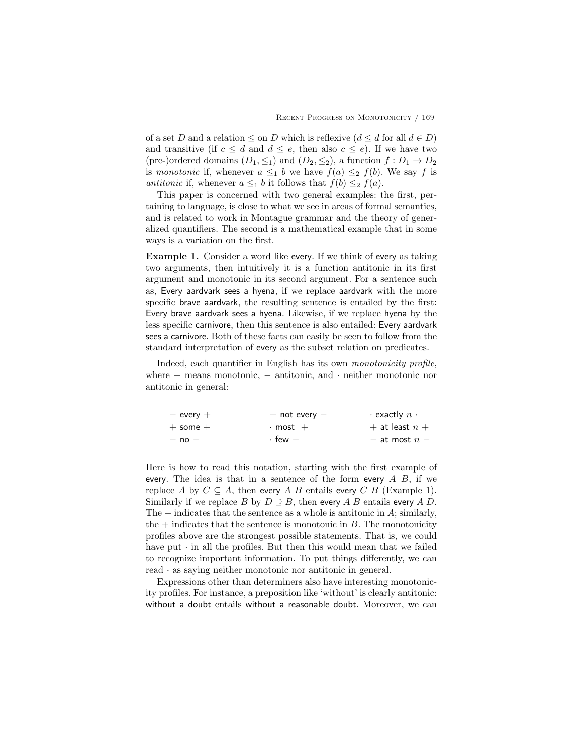of a set *D* and a relation  $\leq$  on *D* which is reflexive  $(d \leq d$  for all  $d \in D$ ) and transitive (if  $c \leq d$  and  $d \leq e$ , then also  $c \leq e$ ). If we have two (pre-)ordered domains  $(D_1, \leq_1)$  and  $(D_2, \leq_2)$ , a function  $f : D_1 \to D_2$ is *monotonic* if, whenever  $a \leq_1 b$  we have  $f(a) \leq_2 f(b)$ . We say f is *antitonic* if, whenever  $a \leq_1 b$  it follows that  $f(b) \leq_2 f(a)$ .

This paper is concerned with two general examples: the first, pertaining to language, is close to what we see in areas of formal semantics, and is related to work in Montague grammar and the theory of generalized quantifiers. The second is a mathematical example that in some ways is a variation on the first.

Example 1. Consider a word like every. If we think of every as taking two arguments, then intuitively it is a function antitonic in its first argument and monotonic in its second argument. For a sentence such as, Every aardvark sees a hyena, if we replace aardvark with the more specific brave aardvark, the resulting sentence is entailed by the first: Every brave aardvark sees a hyena. Likewise, if we replace hyena by the less specific carnivore, then this sentence is also entailed: Every aardvark sees a carnivore. Both of these facts can easily be seen to follow from the standard interpretation of every as the subset relation on predicates.

Indeed, each quantifier in English has its own *monotonicity profile*, where  $+$  means monotonic,  $-$  antitonic, and  $\cdot$  neither monotonic nor antitonic in general:

| $-$ every $+$ | $+$ not every $-$ | $\cdot$ exactly $n \cdot$ |
|---------------|-------------------|---------------------------|
| $+$ some $+$  | $\cdot$ most $+$  | $+$ at least $n +$        |
| $-$ no $-$    | $\cdot$ few $-$   | $-$ at most $n-$          |

Here is how to read this notation, starting with the first example of every. The idea is that in a sentence of the form every *A B*, if we replace *A* by  $C \subseteq A$ , then every *A B* entails every *C B* (Example 1). Similarly if we replace *B* by  $D \supseteq B$ , then every *A B* entails every *A D*. The  $-$  indicates that the sentence as a whole is antitonic in  $A$ ; similarly, the  $+$  indicates that the sentence is monotonic in  $B$ . The monotonicity profiles above are the strongest possible statements. That is, we could have put  $\cdot$  in all the profiles. But then this would mean that we failed to recognize important information. To put things differently, we can read *·* as saying neither monotonic nor antitonic in general.

Expressions other than determiners also have interesting monotonicity profiles. For instance, a preposition like 'without' is clearly antitonic: without a doubt entails without a reasonable doubt. Moreover, we can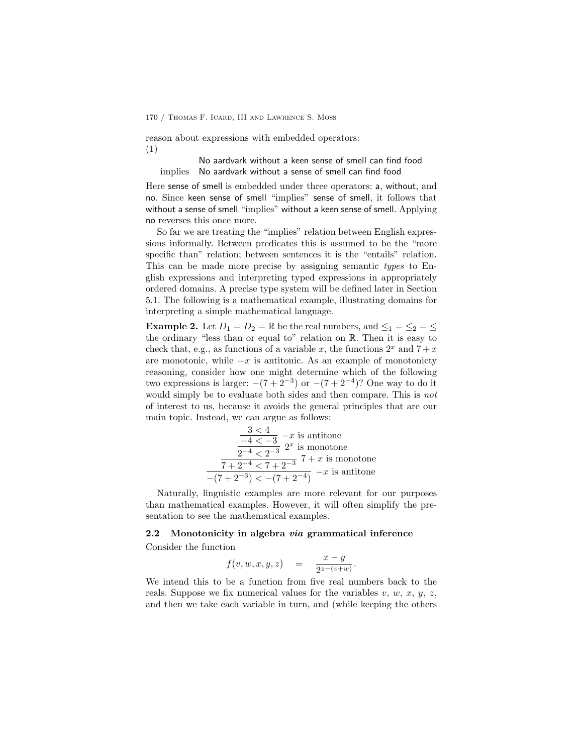reason about expressions with embedded operators: (1)

No aardvark without a keen sense of smell can find food implies No aardvark without a sense of smell can find food

Here sense of smell is embedded under three operators: a, without, and no. Since keen sense of smell "implies" sense of smell, it follows that without a sense of smell "implies" without a keen sense of smell. Applying no reverses this once more.

So far we are treating the "implies" relation between English expressions informally. Between predicates this is assumed to be the "more specific than" relation; between sentences it is the "entails" relation. This can be made more precise by assigning semantic *types* to English expressions and interpreting typed expressions in appropriately ordered domains. A precise type system will be defined later in Section 5.1. The following is a mathematical example, illustrating domains for interpreting a simple mathematical language.

**Example 2.** Let  $D_1 = D_2 = \mathbb{R}$  be the real numbers, and  $\leq_1 = \leq_2 = \leq$ the ordinary "less than or equal to" relation on R. Then it is easy to check that, e.g., as functions of a variable x, the functions  $2^x$  and  $7+x$ are monotonic, while  $-x$  is antitonic. As an example of monotonicty reasoning, consider how one might determine which of the following two expressions is larger:  $-(7+2^{-3})$  or  $-(7+2^{-4})$ ? One way to do it would simply be to evaluate both sides and then compare. This is *not* of interest to us, because it avoids the general principles that are our main topic. Instead, we can argue as follows:

$$
\frac{\frac{3 < 4}{-4 < -3} - x \text{ is antitone}}{2^{-4} < 2^{-3}} 2^x \text{ is monotone}
$$
\n
$$
\frac{7 + 2^{-4} < 7 + 2^{-3}}{7 + 2^{-4} < 7 + 2^{-3}} 7 + x \text{ is monotone}
$$
\n
$$
-(7 + 2^{-3}) < -(7 + 2^{-4}) - x \text{ is antitone}
$$

Naturally, linguistic examples are more relevant for our purposes than mathematical examples. However, it will often simplify the presentation to see the mathematical examples.

# 2.2 Monotonicity in algebra *via* grammatical inference

Consider the function

$$
f(v,w,x,y,z) \quad = \quad \frac{x-y}{2^{z-(v+w)}}.
$$

We intend this to be a function from five real numbers back to the reals. Suppose we fix numerical values for the variables  $v, w, x, y, z$ , and then we take each variable in turn, and (while keeping the others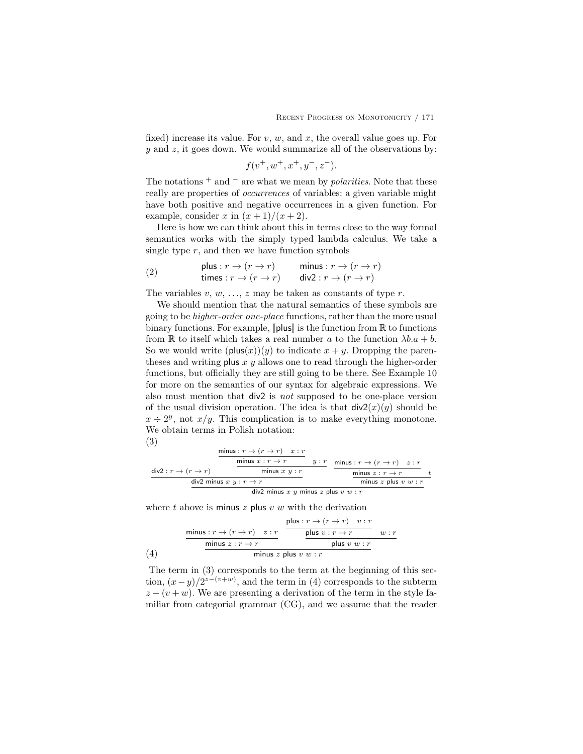fixed) increase its value. For *v*, *w*, and *x*, the overall value goes up. For *y* and *z*, it goes down. We would summarize all of the observations by:

$$
f(v^+, w^+, x^+, y^-, z^-).
$$

The notations  $+$  and  $-$  are what we mean by *polarities*. Note that these really are properties of *occurrences* of variables: a given variable might have both positive and negative occurrences in a given function. For example, consider *x* in  $(x+1)/(x+2)$ .

Here is how we can think about this in terms close to the way formal semantics works with the simply typed lambda calculus. We take a single type  $r$ , and then we have function symbols

(2) plus 
$$
r \to (r \to r)
$$
 minus  $r \to (r \to r)$   
times  $r \to (r \to r)$  div2  $r \to (r \to r)$ 

The variables  $v, w, \ldots, z$  may be taken as constants of type  $r$ .

We should mention that the natural semantics of these symbols are going to be *higher-order one-place* functions, rather than the more usual binary functions. For example,  $[\n \lbrack \mathsf{plus} \rbrack \rbrack$  is the function from  $\mathbb R$  to functions from  $\mathbb R$  to itself which takes a real number *a* to the function  $\lambda b \cdot a + b$ . So we would write  $(\text{plus}(x))(y)$  to indicate  $x + y$ . Dropping the parentheses and writing plus *x y* allows one to read through the higher-order functions, but officially they are still going to be there. See Example 10 for more on the semantics of our syntax for algebraic expressions. We also must mention that div2 is *not* supposed to be one-place version of the usual division operation. The idea is that  $div2(x)(y)$  should be  $x \div 2^y$ , not  $x/y$ . This complication is to make everything monotone. We obtain terms in Polish notation: (3)

| minus                            | $r \rightarrow (r \rightarrow r)$ | $x : r$                   |         |                                       |                       |     |
|----------------------------------|-----------------------------------|---------------------------|---------|---------------------------------------|-----------------------|-----|
| minus                            | $x : r \rightarrow r$             | $y : r$                   | $y : r$ | $y : r \rightarrow (r \rightarrow r)$ | $z : r$               |     |
| div2                             | $x \rightarrow (r \rightarrow r)$ | minus x : r \rightarrow r | $y : r$ | $y : r \rightarrow (r \rightarrow r)$ | $z : r \rightarrow r$ | $t$ |
| div2 minus x y : r \rightarrow r | minus z plus v w : r              | $y : r \rightarrow r$     |         |                                       |                       |     |

div2 minus *x y* minus *z* plus *v w* : *r*

where *t* above is minus *z* plus *v w* with the derivation

$$
\begin{array}{ll}\n\text{minus}: r \to (r \to r) \quad z : r \\
\hline\n\text{minus}: r \to (r \to r) \quad z : r \\
\hline\n\text{minus}: r \to r \\
\hline\n\text{minus}: z \text{minus} \quad y : r \\
\hline\n\text{minus}: r \to r\n\end{array}\n\quad\n\begin{array}{ll}\n\text{plus}: r \to (r \to r) \quad v : r \\
\hline\n\text{plus} \quad v : r \to r \\
\hline\n\text{plus} \quad v w : r\n\end{array}
$$

The term in (3) corresponds to the term at the beginning of this section,  $(x-y)/2^{z-(v+w)}$ , and the term in (4) corresponds to the subterm  $z - (v + w)$ . We are presenting a derivation of the term in the style familiar from categorial grammar (CG), and we assume that the reader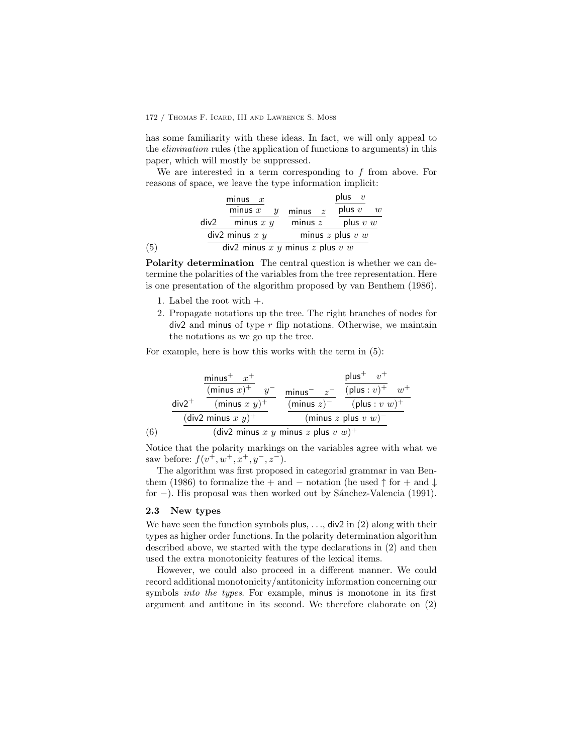has some familiarity with these ideas. In fact, we will only appeal to the *elimination* rules (the application of functions to arguments) in this paper, which will mostly be suppressed.

We are interested in a term corresponding to *f* from above. For reasons of space, we leave the type information implicit:

|     |      | minus $x$<br>minus $x$            | minus $z$ | plus $v$<br>plus $v$<br>w |
|-----|------|-----------------------------------|-----------|---------------------------|
|     | div2 | minus $x, y$                      | minus $z$ | plus $v \, w$             |
|     |      | $div2$ minus $x$ $y$              |           | minus $z$ plus $v$ $w$    |
| (5) |      | $div2$ minus x y minus z plus v w |           |                           |

Polarity determination The central question is whether we can determine the polarities of the variables from the tree representation. Here is one presentation of the algorithm proposed by van Benthem (1986).

- 1. Label the root with +.
- 2. Propagate notations up the tree. The right branches of nodes for div2 and minus of type *r* flip notations. Otherwise, we maintain the notations as we go up the tree.

For example, here is how this works with the term in (5):

$$
\frac{\text{minus}^+ x^+}{\text{minus } x^+ y^-} \quad \frac{\text{minus}^- z^-}{\text{minus } x^+ y^+} \quad \frac{\text{minus}^- z^-}{\text{minus } z^-} \quad \frac{\text{plus}^+ v^+}{\text{minus } v^+ w^+}
$$
\n
$$
\frac{\text{div2}^+ \quad (\text{minus } x^+ y^+}{\text{minus } x^+ y^+} \quad \frac{\text{minus}^- z^-}{\text{minus } z^- \text{plus } v^+ w^-}
$$
\n
$$
(6) \quad \frac{(\text{div2 minus } x^+ y^+)}{(\text{div2 minus } x^+ y^+ \text{minus } z^- \text{plus } v^+ w^+)}
$$

Notice that the polarity markings on the variables agree with what we saw before:  $f(v^+, w^+, x^+, y^-, z^-)$ .

The algorithm was first proposed in categorial grammar in van Benthem (1986) to formalize the  $+$  and  $-$  notation (he used  $\uparrow$  for  $+$  and  $\downarrow$ for  $-$ ). His proposal was then worked out by Sánchez-Valencia (1991).

#### 2.3 New types

We have seen the function symbols plus, *...*, div2 in (2) along with their types as higher order functions. In the polarity determination algorithm described above, we started with the type declarations in (2) and then used the extra monotonicity features of the lexical items.

However, we could also proceed in a different manner. We could record additional monotonicity/antitonicity information concerning our symbols *into the types*. For example, minus is monotone in its first argument and antitone in its second. We therefore elaborate on (2)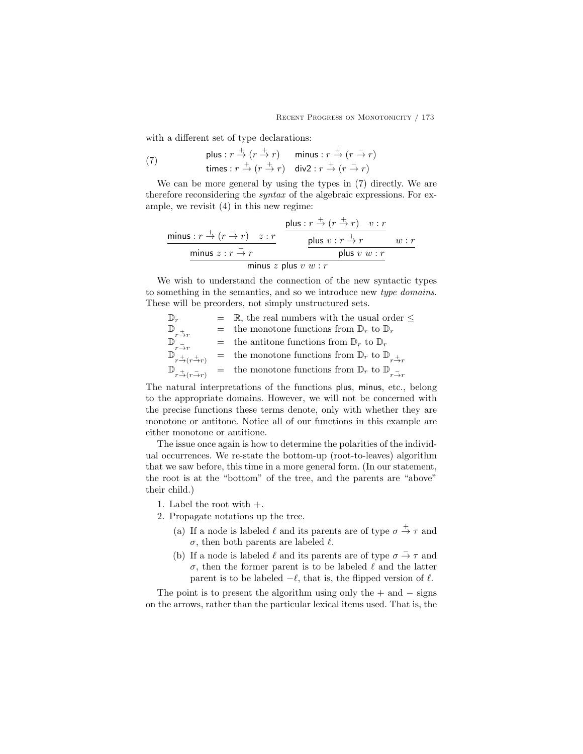$\overline{+}$ 

with a different set of type declarations:

(7) 
$$
\text{plus}: r \stackrel{+}{\rightarrow} (r \stackrel{+}{\rightarrow} r) \text{ minus}: r \stackrel{+}{\rightarrow} (r \stackrel{-}{\rightarrow} r) \text{times}: r \stackrel{+}{\rightarrow} (r \stackrel{-}{\rightarrow} r)
$$

We can be more general by using the types in (7) directly. We are therefore reconsidering the *syntax* of the algebraic expressions. For example, we revisit (4) in this new regime:

|                                                                               | plus : $r \stackrel{+}{\rightarrow} (r \stackrel{+}{\rightarrow} r)$ $v : r$ |       |
|-------------------------------------------------------------------------------|------------------------------------------------------------------------------|-------|
| minus : $r \stackrel{+}{\rightarrow} (r \stackrel{-}{\rightarrow} r)$ $z : r$ | plus $v : r \stackrel{\tau}{\rightarrow} r$                                  | w : r |
| minus $z: r \rightarrow r$                                                    | plus $v \, w : r$                                                            |       |
|                                                                               | minus z plus $v \, w : r$                                                    |       |

We wish to understand the connection of the new syntactic types to something in the semantics, and so we introduce new *type domains*. These will be preorders, not simply unstructured sets.

| $\mathbb{D}_r$                            | $=$ R, the real numbers with the usual order $\leq$                |
|-------------------------------------------|--------------------------------------------------------------------|
| $\mathbb{D}_{r\overset{+}{\rightarrow}r}$ | $=$ the monotone functions from $\mathbb{D}_r$ to $\mathbb{D}_r$   |
| $\mathbb{D}_{r \to r}$                    | $=$ the antitone functions from $\mathbb{D}_r$ to $\mathbb{D}_r$   |
| $\mathbb{D}_{r\to(r\to r)}$               | = the monotone functions from $\mathbb{D}_r$ to $\mathbb{D}_{r+r}$ |
| $\mathbb{D}_{r\to(r\to r)}$               | = the monotone functions from $\mathbb{D}_r$ to $\mathbb{D}_{r-r}$ |
|                                           |                                                                    |

The natural interpretations of the functions plus, minus, etc., belong to the appropriate domains. However, we will not be concerned with the precise functions these terms denote, only with whether they are monotone or antitone. Notice all of our functions in this example are either monotone or antitione.

The issue once again is how to determine the polarities of the individual occurrences. We re-state the bottom-up (root-to-leaves) algorithm that we saw before, this time in a more general form. (In our statement, the root is at the "bottom" of the tree, and the parents are "above" their child.)

1. Label the root with +.

- 2. Propagate notations up the tree.
	- (a) If a node is labeled  $\ell$  and its parents are of type  $\sigma \stackrel{+}{\rightarrow} \tau$  and  $\sigma$ , then both parents are labeled  $\ell$ .
	- (b) If a node is labeled  $\ell$  and its parents are of type  $\sigma \rightarrow \tau$  and  $\sigma$ , then the former parent is to be labeled  $\ell$  and the latter parent is to be labeled  $-\ell$ , that is, the flipped version of  $\ell$ .

The point is to present the algorithm using only the  $+$  and  $-$  signs on the arrows, rather than the particular lexical items used. That is, the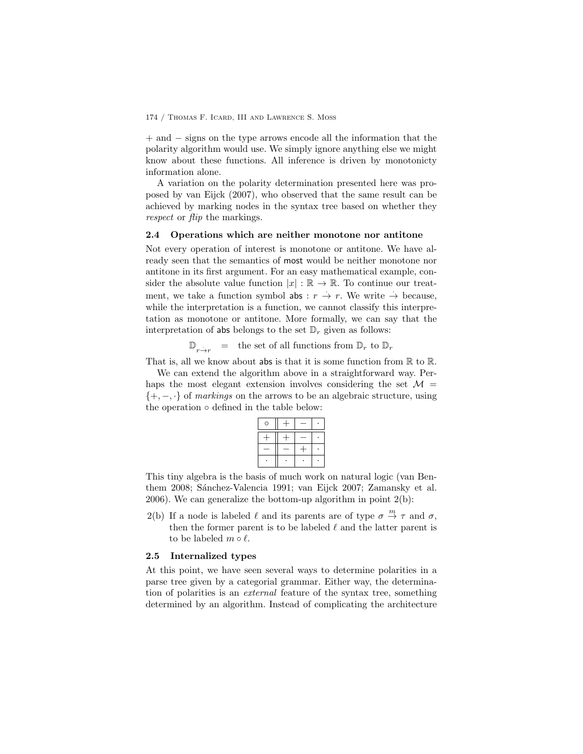$+$  and  $-$  signs on the type arrows encode all the information that the polarity algorithm would use. We simply ignore anything else we might know about these functions. All inference is driven by monotonicty information alone.

A variation on the polarity determination presented here was proposed by van Eijck (2007), who observed that the same result can be achieved by marking nodes in the syntax tree based on whether they *respect* or *flip* the markings.

#### 2.4 Operations which are neither monotone nor antitone

Not every operation of interest is monotone or antitone. We have already seen that the semantics of most would be neither monotone nor antitone in its first argument. For an easy mathematical example, consider the absolute value function  $|x| : \mathbb{R} \to \mathbb{R}$ . To continue our treatment, we take a function symbol **abs** :  $r \to r$ . We write  $\to$  because, while the interpretation is a function, we cannot classify this interpretation as monotone or antitone. More formally, we can say that the interpretation of abs belongs to the set  $\mathbb{D}_r$  given as follows:

 $\mathbb{D}_{r \to r}$  = the set of all functions from  $\mathbb{D}_r$  to  $\mathbb{D}_r$ 

That is, all we know about abs is that it is some function from  $\mathbb R$  to  $\mathbb R$ .

We can extend the algorithm above in a straightforward way. Perhaps the most elegant extension involves considering the set  $\mathcal{M} =$  $\{+, -, \cdot\}$  of *markings* on the arrows to be an algebraic structure, using the operation  $\circ$  defined in the table below:

| J. |  |  |
|----|--|--|
|    |  |  |
|    |  |  |
|    |  |  |

This tiny algebra is the basis of much work on natural logic (van Benthem 2008; Sánchez-Valencia 1991; van Eijck 2007; Zamansky et al. 2006). We can generalize the bottom-up algorithm in point  $2(b)$ :

2(b) If a node is labeled  $\ell$  and its parents are of type  $\sigma \stackrel{m}{\rightarrow} \tau$  and  $\sigma$ , then the former parent is to be labeled  $\ell$  and the latter parent is to be labeled  $m \circ \ell$ .

# 2.5 Internalized types

At this point, we have seen several ways to determine polarities in a parse tree given by a categorial grammar. Either way, the determination of polarities is an *external* feature of the syntax tree, something determined by an algorithm. Instead of complicating the architecture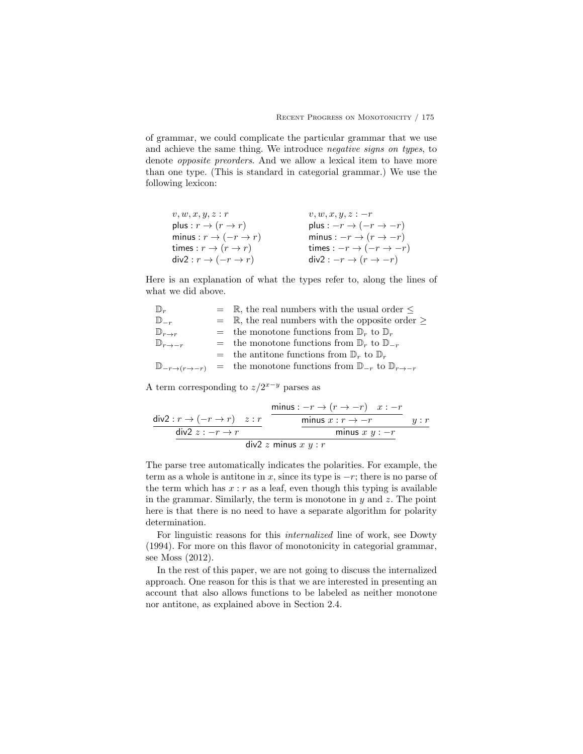of grammar, we could complicate the particular grammar that we use and achieve the same thing. We introduce *negative signs on types*, to denote *opposite preorders*. And we allow a lexical item to have more than one type. (This is standard in categorial grammar.) We use the following lexicon:

| v, w, x, y, z : r                          | $v, w, x, y, z: -r$                          |
|--------------------------------------------|----------------------------------------------|
| plus : $r \rightarrow (r \rightarrow r)$   | plus : $-r \rightarrow (-r \rightarrow -r)$  |
| minus : $r \rightarrow (-r \rightarrow r)$ | minus : $-r \rightarrow (r \rightarrow -r)$  |
| times : $r \rightarrow (r \rightarrow r)$  | times : $-r \rightarrow (-r \rightarrow -r)$ |
| $div2: r \rightarrow (-r \rightarrow r)$   | $div2: -r \rightarrow (r \rightarrow -r)$    |

Here is an explanation of what the types refer to, along the lines of what we did above.

| $\mathbb{D}_r$         | $=$ R, the real numbers with the usual order $\leq$                                                         |
|------------------------|-------------------------------------------------------------------------------------------------------------|
| $\mathbb{D}_{-r}$      | $=$ R, the real numbers with the opposite order $>$                                                         |
| $\mathbb{D}_{r \to r}$ | $=$ the monotone functions from $\mathbb{D}_r$ to $\mathbb{D}_r$                                            |
| $\mathbb{D}_{r\to -r}$ | $=$ the monotone functions from $\mathbb{D}_r$ to $\mathbb{D}_{-r}$                                         |
|                        | $=$ the antitone functions from $\mathbb{D}_r$ to $\mathbb{D}_r$                                            |
|                        | $\mathbb{D}_{-r \to (r \to -r)}$ = the monotone functions from $\mathbb{D}_{-r}$ to $\mathbb{D}_{r \to -r}$ |
|                        |                                                                                                             |

A term corresponding to  $z/2^{x-y}$  parses as

$$
\frac{\text{div2}: r \to (-r \to r) \quad z : r}{\text{div2 } z : -r \to r} \xrightarrow{ \text{minus } x : r \to -r \text{ } x : -r \to r \text{ } y : r}
$$
\n
$$
\frac{\text{minus } x : r \to -r \text{ } \text{minus } x : r \to -r \text{ } y : r}{\text{div2 } z \text{ minus } x y : r}
$$

The parse tree automatically indicates the polarities. For example, the term as a whole is antitone in  $x$ , since its type is  $-r$ ; there is no parse of the term which has  $x : r$  as a leaf, even though this typing is available in the grammar. Similarly, the term is monotone in *y* and *z*. The point here is that there is no need to have a separate algorithm for polarity determination.

For linguistic reasons for this *internalized* line of work, see Dowty (1994). For more on this flavor of monotonicity in categorial grammar, see Moss (2012).

In the rest of this paper, we are not going to discuss the internalized approach. One reason for this is that we are interested in presenting an account that also allows functions to be labeled as neither monotone nor antitone, as explained above in Section 2.4.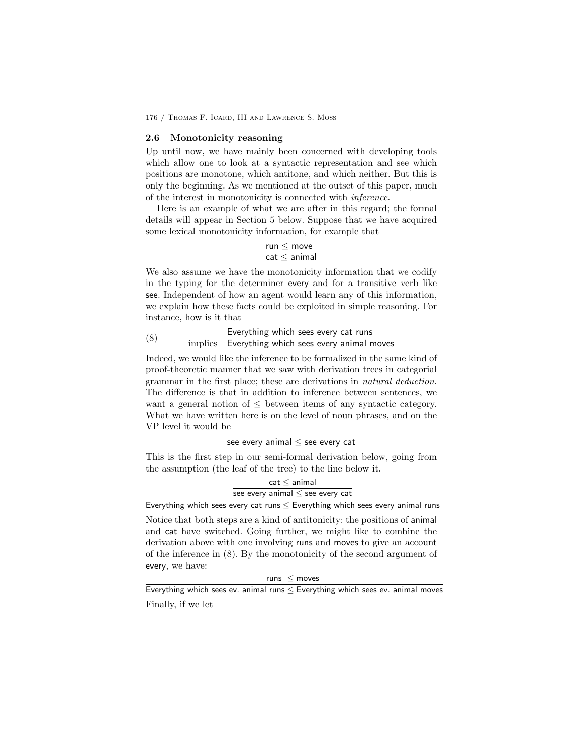#### 2.6 Monotonicity reasoning

Up until now, we have mainly been concerned with developing tools which allow one to look at a syntactic representation and see which positions are monotone, which antitone, and which neither. But this is only the beginning. As we mentioned at the outset of this paper, much of the interest in monotonicity is connected with *inference*.

Here is an example of what we are after in this regard; the formal details will appear in Section 5 below. Suppose that we have acquired some lexical monotonicity information, for example that

$$
\begin{array}{l} \mathsf{run} \leq \mathsf{move} \\ \mathsf{cat} \leq \mathsf{animal} \end{array}
$$

We also assume we have the monotonicity information that we codify in the typing for the determiner every and for a transitive verb like see. Independent of how an agent would learn any of this information, we explain how these facts could be exploited in simple reasoning. For instance, how is it that

# (8) Everything which sees every cat runs implies Everything which sees every animal moves

Indeed, we would like the inference to be formalized in the same kind of proof-theoretic manner that we saw with derivation trees in categorial grammar in the first place; these are derivations in *natural deduction*. The difference is that in addition to inference between sentences, we want a general notion of  $\leq$  between items of any syntactic category. What we have written here is on the level of noun phrases, and on the VP level it would be

see every animal  $\le$  see every cat

This is the first step in our semi-formal derivation below, going from the assumption (the leaf of the tree) to the line below it.

| $cat <$ animal                        |  |
|---------------------------------------|--|
| see every animal $\leq$ see every cat |  |

Everything which sees every cat runs  $\leq$  Everything which sees every animal runs

Notice that both steps are a kind of antitonicity: the positions of animal and cat have switched. Going further, we might like to combine the derivation above with one involving runs and moves to give an account of the inference in (8). By the monotonicity of the second argument of every, we have:

runs  $<$  moves

Everything which sees ev. animal runs  $\leq$  Everything which sees ev. animal moves

Finally, if we let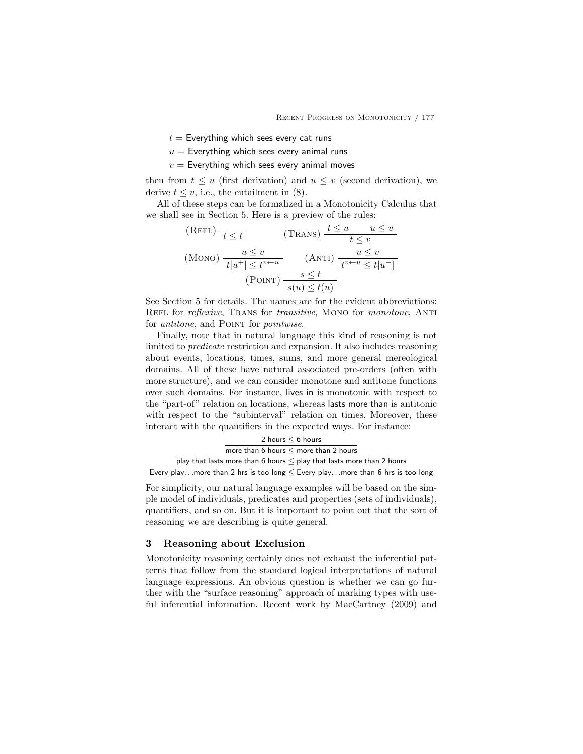$t =$  Everything which sees every cat runs

- $u =$  Everything which sees every animal runs
- $v =$  Everything which sees every animal moves

then from  $t \leq u$  (first derivation) and  $u \leq v$  (second derivation), we derive  $t \leq v$ , i.e., the entailment in (8).

All of these steps can be formalized in a Monotonicity Calculus that we shall see in Section 5. Here is a preview of the rules:

(REFL) 
$$
\overline{t \le t}
$$
 (Trans)  $\frac{t \le u - u \le v}{t \le v}$   
\n(Mono)  $\frac{u \le v}{t[u^+] \le t^{v \leftarrow u}}$  (ANT)  $\frac{u \le v}{t^{v \leftarrow u} \le t[u^-]}$   
\n(POINT)  $\frac{s \le t}{s(u) \le t(u)}$ 

See Section 5 for details. The names are for the evident abbreviations: Refl for *reflexive*, Trans for *transitive*, Mono for *monotone*, Anti for *antitone*, and POINT for *pointwise*.

Finally, note that in natural language this kind of reasoning is not limited to *predicate* restriction and expansion. It also includes reasoning about events, locations, times, sums, and more general mereological domains. All of these have natural associated pre-orders (often with more structure), and we can consider monotone and antitone functions over such domains. For instance, lives in is monotonic with respect to the "part-of" relation on locations, whereas lasts more than is antitonic with respect to the "subinterval" relation on times. Moreover, these interact with the quantifiers in the expected ways. For instance:

| more than 6 hours $\leq$ more than 2 hours<br>play that lasts more than 6 hours $\leq$ play that lasts more than 2 hours |  | 2 hours $< 6$ hours |  |  |  |  |
|--------------------------------------------------------------------------------------------------------------------------|--|---------------------|--|--|--|--|
|                                                                                                                          |  |                     |  |  |  |  |
|                                                                                                                          |  |                     |  |  |  |  |

Every play...more than 2 hrs is too long  $\leq$  Every play...more than 6 hrs is too long

For simplicity, our natural language examples will be based on the simple model of individuals, predicates and properties (sets of individuals), quantifiers, and so on. But it is important to point out that the sort of reasoning we are describing is quite general.

# 3 Reasoning about Exclusion

Monotonicity reasoning certainly does not exhaust the inferential patterns that follow from the standard logical interpretations of natural language expressions. An obvious question is whether we can go further with the "surface reasoning" approach of marking types with useful inferential information. Recent work by MacCartney (2009) and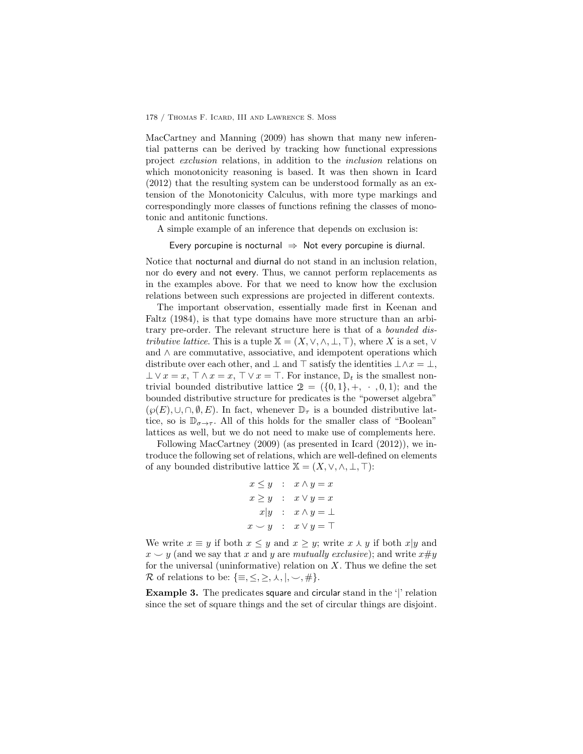MacCartney and Manning (2009) has shown that many new inferential patterns can be derived by tracking how functional expressions project *exclusion* relations, in addition to the *inclusion* relations on which monotonicity reasoning is based. It was then shown in Icard (2012) that the resulting system can be understood formally as an extension of the Monotonicity Calculus, with more type markings and correspondingly more classes of functions refining the classes of monotonic and antitonic functions.

A simple example of an inference that depends on exclusion is:

Every porcupine is nocturnal  $\Rightarrow$  Not every porcupine is diurnal.

Notice that nocturnal and diurnal do not stand in an inclusion relation, nor do every and not every. Thus, we cannot perform replacements as in the examples above. For that we need to know how the exclusion relations between such expressions are projected in different contexts.

The important observation, essentially made first in Keenan and Faltz (1984), is that type domains have more structure than an arbitrary pre-order. The relevant structure here is that of a *bounded distributive lattice.* This is a tuple  $X = (X, \vee, \wedge, \bot, \top)$ , where X is a set,  $\vee$ and  $\wedge$  are commutative, associative, and idempotent operations which distribute over each other, and  $\perp$  and  $\perp$  satisfy the identities  $\perp \wedge x = \perp$ ,  $\perp \vee x = x$ ,  $\top \wedge x = x$ ,  $\top \vee x = \top$ . For instance,  $\mathbb{D}_t$  is the smallest nontrivial bounded distributive lattice  $2 = (\{0, 1\}, +, \cdot, 0, 1);$  and the bounded distributive structure for predicates is the "powerset algebra"  $(\wp(E), \cup, \cap, \emptyset, E)$ . In fact, whenever  $\mathbb{D}_{\tau}$  is a bounded distributive lattice, so is  $\mathbb{D}_{\sigma \to \tau}$ . All of this holds for the smaller class of "Boolean" lattices as well, but we do not need to make use of complements here.

Following MacCartney (2009) (as presented in Icard (2012)), we introduce the following set of relations, which are well-defined on elements of any bounded distributive lattice  $X = (X, \vee, \wedge, \bot, \top)$ :

$$
x \le y : x \land y = x
$$
  
\n
$$
x \ge y : x \lor y = x
$$
  
\n
$$
x|y : x \land y = \bot
$$
  
\n
$$
x \smile y : x \lor y = \top
$$

We write  $x \equiv y$  if both  $x \leq y$  and  $x \geq y$ ; write  $x \wedge y$  if both  $x|y$  and  $x \sim y$  (and we say that *x* and *y* are *mutually exclusive*); and write  $x \neq y$ for the universal (uninformative) relation on *X*. Thus we define the set  $\mathcal{R}$  of relations to be:  $\{\equiv,\leq,\geq,\lambda, \vert,\sim,\#\}.$ 

Example 3. The predicates square and circular stand in the '*|*' relation since the set of square things and the set of circular things are disjoint.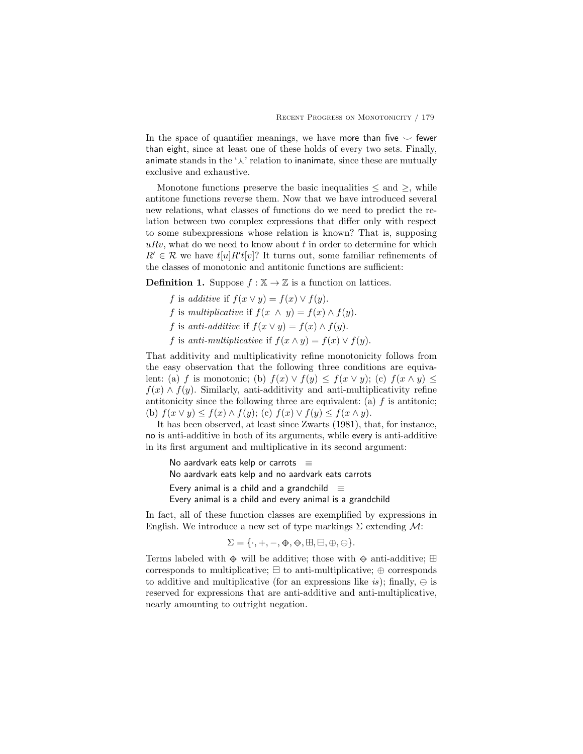In the space of quantifier meanings, we have more than five  $\sim$  fewer than eight, since at least one of these holds of every two sets. Finally, animate stands in the  $\lambda$ ' relation to inanimate, since these are mutually exclusive and exhaustive.

Monotone functions preserve the basic inequalities  $\leq$  and  $\geq$ , while antitone functions reverse them. Now that we have introduced several new relations, what classes of functions do we need to predict the relation between two complex expressions that differ only with respect to some subexpressions whose relation is known? That is, supposing *uRv*, what do we need to know about *t* in order to determine for which  $R' \in \mathcal{R}$  we have  $t[u]R't[v]$ ? It turns out, some familiar refinements of the classes of monotonic and antitonic functions are sufficient:

**Definition 1.** Suppose  $f : \mathbb{X} \to \mathbb{Z}$  is a function on lattices.

*f* is *additive* if  $f(x \vee y) = f(x) \vee f(y)$ .

*f* is *multiplicative* if  $f(x \wedge y) = f(x) \wedge f(y)$ .

*f* is *anti-additive* if  $f(x \vee y) = f(x) \wedge f(y)$ .

*f* is *anti-multiplicative* if  $f(x \wedge y) = f(x) \vee f(y)$ .

That additivity and multiplicativity refine monotonicity follows from the easy observation that the following three conditions are equivalent: (a) *f* is monotonic; (b)  $f(x) \vee f(y) \leq f(x \vee y)$ ; (c)  $f(x \wedge y) \leq$  $f(x) \wedge f(y)$ . Similarly, anti-additivity and anti-multiplicativity refine antitonicity since the following three are equivalent: (a)  $f$  is antitonic; (b)  $f(x \vee y) \leq f(x) \wedge f(y)$ ; (c)  $f(x) \vee f(y) \leq f(x \wedge y)$ .

It has been observed, at least since Zwarts (1981), that, for instance, no is anti-additive in both of its arguments, while every is anti-additive in its first argument and multiplicative in its second argument:

No aardvark eats kelp or carrots  $\equiv$ No aardvark eats kelp and no aardvark eats carrots Every animal is a child and a grandchild  $\equiv$ Every animal is a child and every animal is a grandchild

In fact, all of these function classes are exemplified by expressions in English. We introduce a new set of type markings  $\Sigma$  extending  $\mathcal{M}$ :

$$
\Sigma = \{\cdot, +, -, \Phi, \Theta, \boxplus, \boxminus, \Theta, \Theta\}.
$$

Terms labeled with  $\Phi$  will be additive; those with  $\Theta$  anti-additive;  $\boxplus$ corresponds to multiplicative;  $\exists$  to anti-multiplicative;  $\oplus$  corresponds to additive and multiplicative (for an expressions like *is*); finally,  $\ominus$  is reserved for expressions that are anti-additive and anti-multiplicative, nearly amounting to outright negation.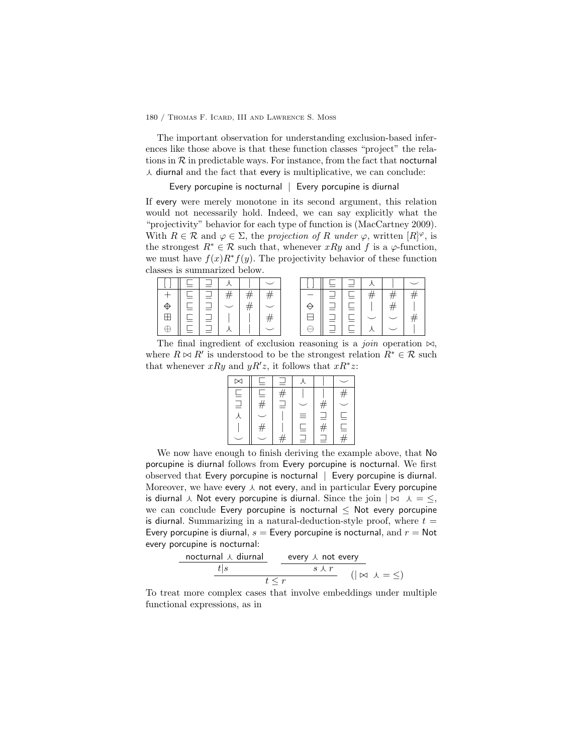The important observation for understanding exclusion-based inferences like those above is that these function classes "project" the relations in  $R$  in predictable ways. For instance, from the fact that nocturnal  $\lambda$  diurnal and the fact that every is multiplicative, we can conclude:

#### Every porcupine is nocturnal *|* Every porcupine is diurnal

If every were merely monotone in its second argument, this relation would not necessarily hold. Indeed, we can say explicitly what the "projectivity" behavior for each type of function is (MacCartney 2009). With  $R \in \mathcal{R}$  and  $\varphi \in \Sigma$ , the *projection of*  $R$  *under*  $\varphi$ , written  $[R]^{\varphi}$ , is the strongest  $R^* \in \mathcal{R}$  such that, whenever  $xRy$  and f is a  $\varphi$ -function, we must have  $f(x)R^*f(y)$ . The projectivity behavior of these function classes is summarized below.

The final ingredient of exclusion reasoning is a *join* operation  $\bowtie$ , where  $R \bowtie R'$  is understood to be the strongest relation  $R^* \in \mathcal{R}$  such that whenever  $xRy$  and  $yR'z$ , it follows that  $xR^*z$ :

| ⋈  | ⊑             |               |          |               |     |
|----|---------------|---------------|----------|---------------|-----|
| 三三 | $\sqsubseteq$ |               |          |               | #   |
|    | #             | $\sqsupseteq$ |          | #             |     |
|    |               |               | $\equiv$ |               |     |
|    | #             |               | $\Xi$    | $\frac{1}{4}$ | 三三五 |
|    |               |               |          | $\equiv$      |     |

We now have enough to finish deriving the example above, that No porcupine is diurnal follows from Every porcupine is nocturnal. We first observed that Every porcupine is nocturnal *|* Every porcupine is diurnal. Moreover, we have every  $\lambda$  not every, and in particular Every porcupine is diurnal  $\lambda$  Not every porcupine is diurnal. Since the join  $|\infty \lambda| = \leq$ , we can conclude Every porcupine is nocturnal  $\leq$  Not every porcupine is diurnal. Summarizing in a natural-deduction-style proof, where  $t =$ Every porcupine is diurnal,  $s =$  Every porcupine is nocturnal, and  $r =$  Not every porcupine is nocturnal:

| noturnal | A diurnal         | every                            | not every |
|----------|-------------------|----------------------------------|-----------|
| $t s$    | $s \curlywedge r$ | $(  \bowtie \curlywedge = \leq)$ |           |

To treat more complex cases that involve embeddings under multiple functional expressions, as in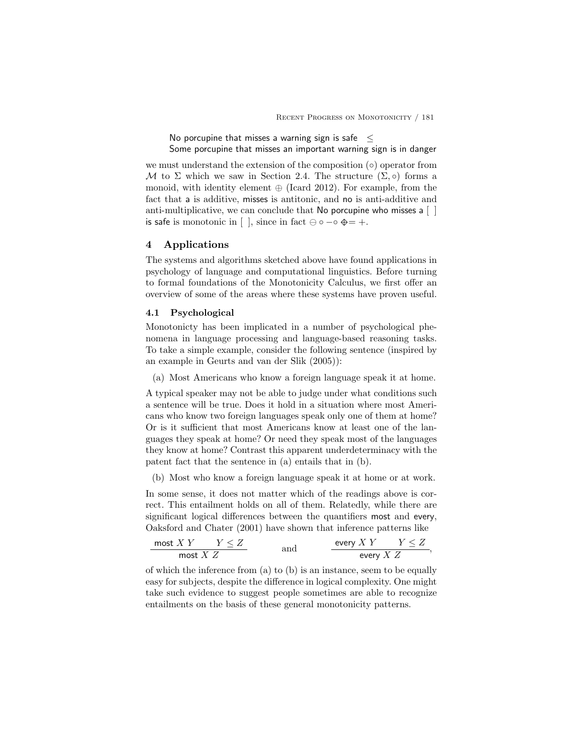RECENT PROGRESS ON MONOTONICITY / 181

No porcupine that misses a warning sign is safe  $\leq$ Some porcupine that misses an important warning sign is in danger

we must understand the extension of the composition  $\circ$  operator from *M* to  $\Sigma$  which we saw in Section 2.4. The structure  $(\Sigma, \circ)$  forms a monoid, with identity element  $\oplus$  (Icard 2012). For example, from the fact that a is additive, misses is antitonic, and no is anti-additive and anti-multiplicative, we can conclude that No porcupine who misses a  $\lceil \cdot \rceil$ is safe is monotonic in  $[$   $]$ , since in fact  $\ominus \circ -\circ \oplus = +$ .

# 4 Applications

The systems and algorithms sketched above have found applications in psychology of language and computational linguistics. Before turning to formal foundations of the Monotonicity Calculus, we first offer an overview of some of the areas where these systems have proven useful.

# 4.1 Psychological

Monotonicty has been implicated in a number of psychological phenomena in language processing and language-based reasoning tasks. To take a simple example, consider the following sentence (inspired by an example in Geurts and van der Slik (2005)):

(a) Most Americans who know a foreign language speak it at home.

A typical speaker may not be able to judge under what conditions such a sentence will be true. Does it hold in a situation where most Americans who know two foreign languages speak only one of them at home? Or is it sufficient that most Americans know at least one of the languages they speak at home? Or need they speak most of the languages they know at home? Contrast this apparent underdeterminacy with the patent fact that the sentence in (a) entails that in (b).

(b) Most who know a foreign language speak it at home or at work.

In some sense, it does not matter which of the readings above is correct. This entailment holds on all of them. Relatedly, while there are significant logical differences between the quantifiers most and every, Oaksford and Chater (2001) have shown that inference patterns like

$$
\frac{\text{most } X \ Y \qquad Y \le Z}{\text{most } X \ Z} \qquad \qquad \text{and} \qquad \qquad \frac{\text{every } X \ Y \qquad Y \le Z}{\text{every } X \ Z},
$$

of which the inference from (a) to (b) is an instance, seem to be equally easy for subjects, despite the difference in logical complexity. One might take such evidence to suggest people sometimes are able to recognize entailments on the basis of these general monotonicity patterns.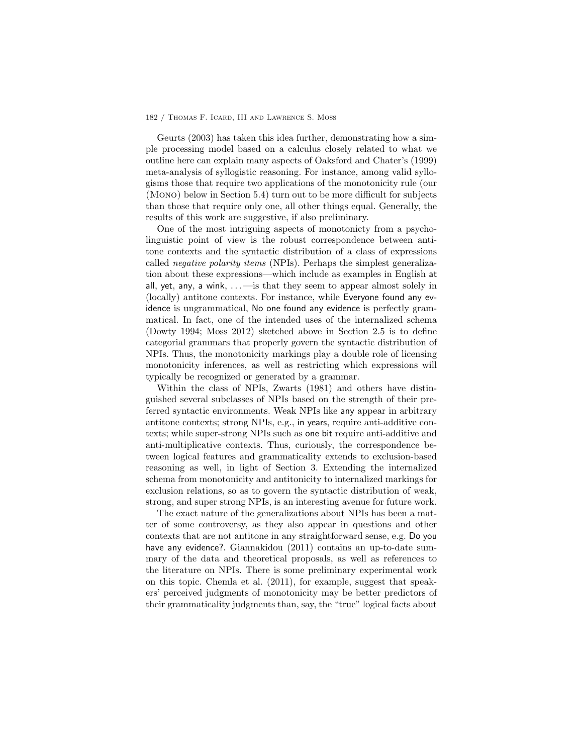Geurts (2003) has taken this idea further, demonstrating how a simple processing model based on a calculus closely related to what we outline here can explain many aspects of Oaksford and Chater's (1999) meta-analysis of syllogistic reasoning. For instance, among valid syllogisms those that require two applications of the monotonicity rule (our  $(Mono)$  below in Section 5.4) turn out to be more difficult for subjects than those that require only one, all other things equal. Generally, the results of this work are suggestive, if also preliminary.

One of the most intriguing aspects of monotonicty from a psycholinguistic point of view is the robust correspondence between antitone contexts and the syntactic distribution of a class of expressions called *negative polarity items* (NPIs). Perhaps the simplest generalization about these expressions—which include as examples in English at all, yet, any, a wink,  $\dots$ —is that they seem to appear almost solely in (locally) antitone contexts. For instance, while Everyone found any evidence is ungrammatical, No one found any evidence is perfectly grammatical. In fact, one of the intended uses of the internalized schema (Dowty 1994; Moss 2012) sketched above in Section 2.5 is to define categorial grammars that properly govern the syntactic distribution of NPIs. Thus, the monotonicity markings play a double role of licensing monotonicity inferences, as well as restricting which expressions will typically be recognized or generated by a grammar.

Within the class of NPIs, Zwarts (1981) and others have distinguished several subclasses of NPIs based on the strength of their preferred syntactic environments. Weak NPIs like any appear in arbitrary antitone contexts; strong NPIs, e.g., in years, require anti-additive contexts; while super-strong NPIs such as one bit require anti-additive and anti-multiplicative contexts. Thus, curiously, the correspondence between logical features and grammaticality extends to exclusion-based reasoning as well, in light of Section 3. Extending the internalized schema from monotonicity and antitonicity to internalized markings for exclusion relations, so as to govern the syntactic distribution of weak, strong, and super strong NPIs, is an interesting avenue for future work.

The exact nature of the generalizations about NPIs has been a matter of some controversy, as they also appear in questions and other contexts that are not antitone in any straightforward sense, e.g. Do you have any evidence?. Giannakidou (2011) contains an up-to-date summary of the data and theoretical proposals, as well as references to the literature on NPIs. There is some preliminary experimental work on this topic. Chemla et al. (2011), for example, suggest that speakers' perceived judgments of monotonicity may be better predictors of their grammaticality judgments than, say, the "true" logical facts about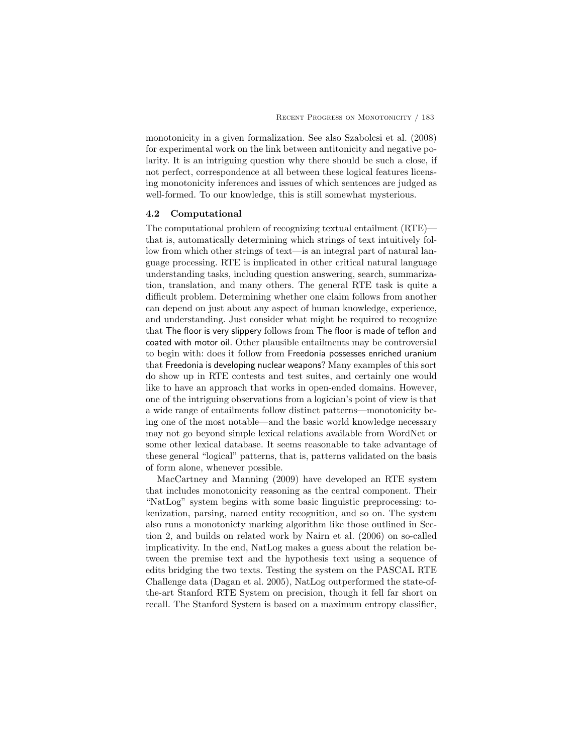monotonicity in a given formalization. See also Szabolcsi et al. (2008) for experimental work on the link between antitonicity and negative polarity. It is an intriguing question why there should be such a close, if not perfect, correspondence at all between these logical features licensing monotonicity inferences and issues of which sentences are judged as well-formed. To our knowledge, this is still somewhat mysterious.

#### 4.2 Computational

The computational problem of recognizing textual entailment (RTE) that is, automatically determining which strings of text intuitively follow from which other strings of text—is an integral part of natural language processing. RTE is implicated in other critical natural language understanding tasks, including question answering, search, summarization, translation, and many others. The general RTE task is quite a difficult problem. Determining whether one claim follows from another can depend on just about any aspect of human knowledge, experience, and understanding. Just consider what might be required to recognize that The floor is very slippery follows from The floor is made of teflon and coated with motor oil. Other plausible entailments may be controversial to begin with: does it follow from Freedonia possesses enriched uranium that Freedonia is developing nuclear weapons? Many examples of this sort do show up in RTE contests and test suites, and certainly one would like to have an approach that works in open-ended domains. However, one of the intriguing observations from a logician's point of view is that a wide range of entailments follow distinct patterns—monotonicity being one of the most notable—and the basic world knowledge necessary may not go beyond simple lexical relations available from WordNet or some other lexical database. It seems reasonable to take advantage of these general "logical" patterns, that is, patterns validated on the basis of form alone, whenever possible.

MacCartney and Manning (2009) have developed an RTE system that includes monotonicity reasoning as the central component. Their "NatLog" system begins with some basic linguistic preprocessing: tokenization, parsing, named entity recognition, and so on. The system also runs a monotonicty marking algorithm like those outlined in Section 2, and builds on related work by Nairn et al. (2006) on so-called implicativity. In the end, NatLog makes a guess about the relation between the premise text and the hypothesis text using a sequence of edits bridging the two texts. Testing the system on the PASCAL RTE Challenge data (Dagan et al. 2005), NatLog outperformed the state-ofthe-art Stanford RTE System on precision, though it fell far short on recall. The Stanford System is based on a maximum entropy classifier,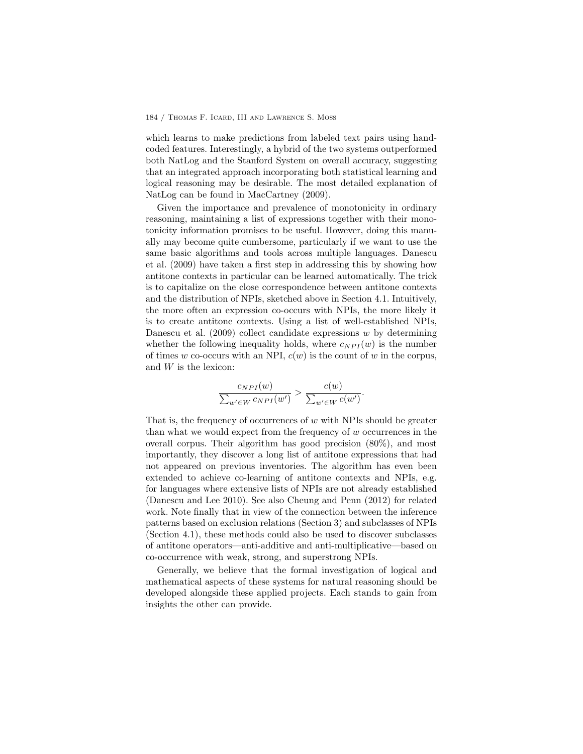which learns to make predictions from labeled text pairs using handcoded features. Interestingly, a hybrid of the two systems outperformed both NatLog and the Stanford System on overall accuracy, suggesting that an integrated approach incorporating both statistical learning and logical reasoning may be desirable. The most detailed explanation of NatLog can be found in MacCartney (2009).

Given the importance and prevalence of monotonicity in ordinary reasoning, maintaining a list of expressions together with their monotonicity information promises to be useful. However, doing this manually may become quite cumbersome, particularly if we want to use the same basic algorithms and tools across multiple languages. Danescu et al. (2009) have taken a first step in addressing this by showing how antitone contexts in particular can be learned automatically. The trick is to capitalize on the close correspondence between antitone contexts and the distribution of NPIs, sketched above in Section 4.1. Intuitively, the more often an expression co-occurs with NPIs, the more likely it is to create antitone contexts. Using a list of well-established NPIs, Danescu et al. (2009) collect candidate expressions *w* by determining whether the following inequality holds, where  $c_{NPI}(w)$  is the number of times *w* co-occurs with an NPI, *c*(*w*) is the count of *w* in the corpus, and *W* is the lexicon:

$$
\frac{c_{NPI}(w)}{\sum_{w'\in W}c_{NPI}(w')} > \frac{c(w)}{\sum_{w'\in W}c(w')}.
$$

That is, the frequency of occurrences of *w* with NPIs should be greater than what we would expect from the frequency of *w* occurrences in the overall corpus. Their algorithm has good precision (80%), and most importantly, they discover a long list of antitone expressions that had not appeared on previous inventories. The algorithm has even been extended to achieve co-learning of antitone contexts and NPIs, e.g. for languages where extensive lists of NPIs are not already established (Danescu and Lee 2010). See also Cheung and Penn (2012) for related work. Note finally that in view of the connection between the inference patterns based on exclusion relations (Section 3) and subclasses of NPIs (Section 4.1), these methods could also be used to discover subclasses of antitone operators—anti-additive and anti-multiplicative—based on co-occurrence with weak, strong, and superstrong NPIs.

Generally, we believe that the formal investigation of logical and mathematical aspects of these systems for natural reasoning should be developed alongside these applied projects. Each stands to gain from insights the other can provide.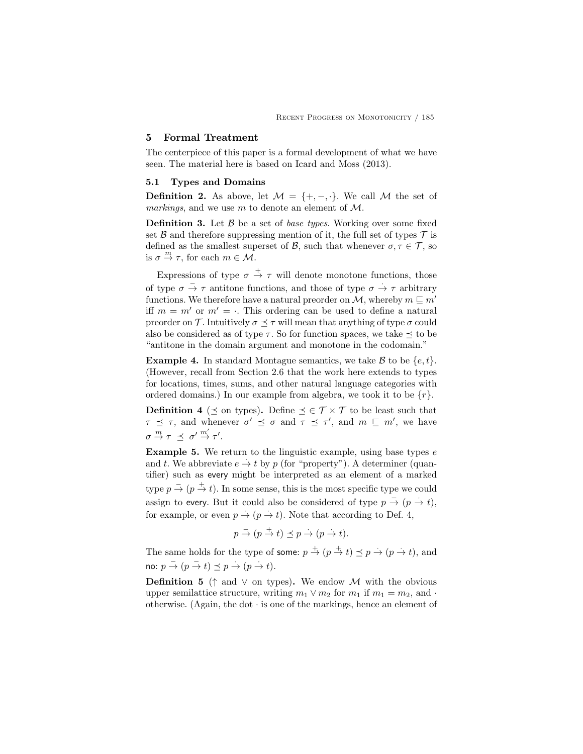#### 5 Formal Treatment

The centerpiece of this paper is a formal development of what we have seen. The material here is based on Icard and Moss (2013).

#### 5.1 Types and Domains

**Definition 2.** As above, let  $M = \{+, -, \cdot\}$ . We call M the set of *markings*, and we use *m* to denote an element of *M*.

Definition 3. Let *B* be a set of *base types*. Working over some fixed set  $\beta$  and therefore suppressing mention of it, the full set of types  $\mathcal T$  is defined as the smallest superset of *B*, such that whenever  $\sigma, \tau \in \mathcal{T}$ , so is  $\sigma \stackrel{m}{\rightarrow} \tau$ , for each  $m \in \mathcal{M}$ .

Expressions of type  $\sigma \stackrel{+}{\rightarrow} \tau$  will denote monotone functions, those of type  $\sigma \to \tau$  antitone functions, and those of type  $\sigma \to \tau$  arbitrary functions. We therefore have a natural preorder on *M*, whereby  $m \nightharpoonup m'$ iff  $m = m'$  or  $m' = \cdot$ . This ordering can be used to define a natural preorder on  $\mathcal T$ . Intuitively  $\sigma \preceq \tau$  will mean that anything of type  $\sigma$  could also be considered as of type  $\tau$ . So for function spaces, we take  $\prec$  to be "antitone in the domain argument and monotone in the codomain."

**Example 4.** In standard Montague semantics, we take  $\mathcal{B}$  to be  $\{e, t\}$ . (However, recall from Section 2.6 that the work here extends to types for locations, times, sums, and other natural language categories with ordered domains.) In our example from algebra, we took it to be *{r}*.

**Definition 4** ( $\leq$  on types). Define  $\leq \in \mathcal{T} \times \mathcal{T}$  to be least such that  $\tau \preceq \tau$ , and whenever  $\sigma' \preceq \sigma$  and  $\tau \preceq \tau'$ , and  $m \sqsubseteq m'$ , we have  $\sigma \stackrel{m}{\rightarrow} \tau \preceq \sigma' \stackrel{m'}{\rightarrow} \tau'.$ 

Example 5. We return to the linguistic example, using base types *e* and *t*. We abbreviate  $e \rightarrow t$  by *p* (for "property"). A determiner (quantifier) such as every might be interpreted as an element of a marked type  $p \stackrel{-}{\rightarrow} (p \stackrel{+}{\rightarrow} t)$ . In some sense, this is the most specific type we could assign to every. But it could also be considered of type  $p \rightarrow (p \rightarrow t)$ , for example, or even  $p \to (p \to t)$ . Note that according to Def. 4,

$$
p \stackrel{-}{\rightarrow} (p \stackrel{+}{\rightarrow} t) \preceq p \stackrel{.}{\rightarrow} (p \stackrel{.}{\rightarrow} t).
$$

The same holds for the type of some:  $p \stackrel{+}{\rightarrow} (p \stackrel{+}{\rightarrow} t) \preceq p \stackrel{+}{\rightarrow} (p \stackrel{+}{\rightarrow} t)$ , and no:  $p \stackrel{-}{\rightarrow} (p \stackrel{-}{\rightarrow} t) \preceq p \stackrel{.}{\rightarrow} (p \stackrel{.}{\rightarrow} t)$ .

**Definition 5** ( $\uparrow$  and  $\vee$  on types). We endow *M* with the obvious upper semilattice structure, writing  $m_1 \vee m_2$  for  $m_1$  if  $m_1 = m_2$ , and *·* otherwise. (Again, the dot *·* is one of the markings, hence an element of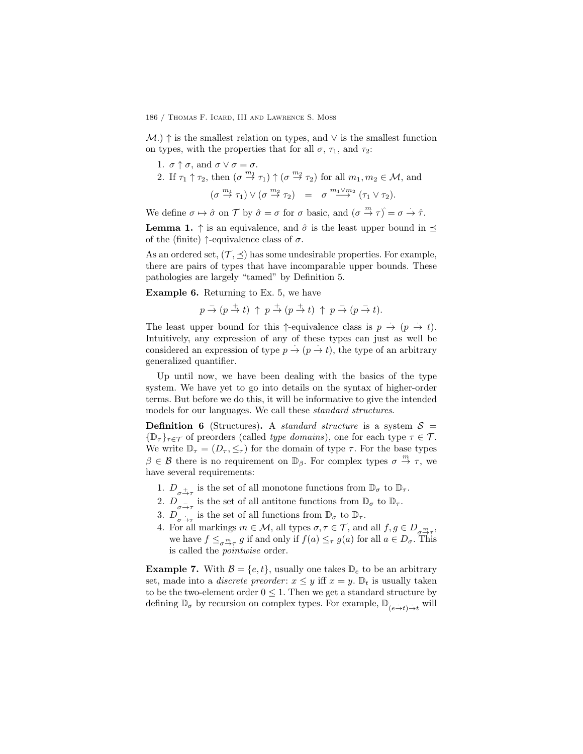$M$ .)  $\uparrow$  is the smallest relation on types, and  $\vee$  is the smallest function on types, with the properties that for all  $\sigma$ ,  $\tau_1$ , and  $\tau_2$ :

1. 
$$
\sigma \uparrow \sigma
$$
, and  $\sigma \vee \sigma = \sigma$ .  
\n2. If  $\tau_1 \uparrow \tau_2$ , then  $(\sigma \stackrel{m_1}{\rightarrow} \tau_1) \uparrow (\sigma \stackrel{m_2}{\rightarrow} \tau_2)$  for all  $m_1, m_2 \in \mathcal{M}$ , and  
\n $(\sigma \stackrel{m_1}{\rightarrow} \tau_1) \vee (\sigma \stackrel{m_2}{\rightarrow} \tau_2) = \sigma \stackrel{m_1 \vee m_2}{\rightarrow} (\tau_1 \vee \tau_2)$ .

We define  $\sigma \mapsto \hat{\sigma}$  on  $\mathcal T$  by  $\hat{\sigma} = \sigma$  for  $\sigma$  basic, and  $(\sigma \stackrel{m}{\to} \tau) \stackrel{\frown}{=} \sigma \stackrel{\frown}{\to} \hat{\tau}$ .

**Lemma 1.**  $\uparrow$  is an equivalence, and  $\hat{\sigma}$  is the least upper bound in  $\preceq$ of the (finite)  $\uparrow$ -equivalence class of  $\sigma$ .

As an ordered set,  $(\mathcal{T}, \preceq)$  has some undesirable properties. For example, there are pairs of types that have incomparable upper bounds. These pathologies are largely "tamed" by Definition 5.

Example 6. Returning to Ex. 5, we have

$$
p \stackrel{-}{\rightarrow} (p \stackrel{+}{\rightarrow} t) \uparrow p \stackrel{+}{\rightarrow} (p \stackrel{+}{\rightarrow} t) \uparrow p \stackrel{-}{\rightarrow} (p \stackrel{-}{\rightarrow} t).
$$

The least upper bound for this  $\uparrow$ -equivalence class is  $p \to (p \to t)$ . Intuitively, any expression of any of these types can just as well be considered an expression of type  $p \to (p \to t)$ , the type of an arbitrary generalized quantifier.

Up until now, we have been dealing with the basics of the type system. We have yet to go into details on the syntax of higher-order terms. But before we do this, it will be informative to give the intended models for our languages. We call these *standard structures*.

**Definition 6** (Structures). A *standard structure* is a system  $S =$  ${\{\mathbb D}_{\tau}\}_{{\tau}\in\mathcal{T}}$  of preorders (called *type domains*), one for each type  ${\tau}\in\mathcal{T}$ . We write  $\mathbb{D}_{\tau} = (D_{\tau}, \leq_{\tau})$  for the domain of type  $\tau$ . For the base types  $\beta \in \mathcal{B}$  there is no requirement on  $\mathbb{D}_{\beta}$ . For complex types  $\sigma \stackrel{m}{\rightarrow} \tau$ , we have several requirements:

- 1.  $D_{\sigma \to \tau}$  is the set of all monotone functions from  $\mathbb{D}_{\sigma}$  to  $\mathbb{D}_{\tau}$ .
- 2.  $D_{\sigma \to \tau}$  is the set of all antitone functions from  $\mathbb{D}_{\sigma}$  to  $\mathbb{D}_{\tau}$ .
- 3.  $D_{\sigma \to \tau}$  is the set of all functions from  $\mathbb{D}_{\sigma}$  to  $\mathbb{D}_{\tau}$ .
- 4. For all markings  $m \in \mathcal{M}$ , all types  $\sigma, \tau \in \mathcal{T}$ , and all  $f, g \in D_{\sigma \frac{m}{2}, \tau}$ , we have  $f \leq_{\sigma,\mathfrak{m}_{\tau}} g$  if and only if  $f(a) \leq_{\tau} g(a)$  for all  $a \in D_{\sigma}$ . This is called the *pointwise* order.

**Example 7.** With  $\mathcal{B} = \{e, t\}$ , usually one takes  $\mathbb{D}_e$  to be an arbitrary set, made into a *discrete preorder*:  $x \leq y$  iff  $x = y$ .  $\mathbb{D}_t$  is usually taken to be the two-element order  $0 \leq 1$ . Then we get a standard structure by defining  $\mathbb{D}_{\sigma}$  by recursion on complex types. For example,  $\mathbb{D}_{(e \to t) \to t}$  will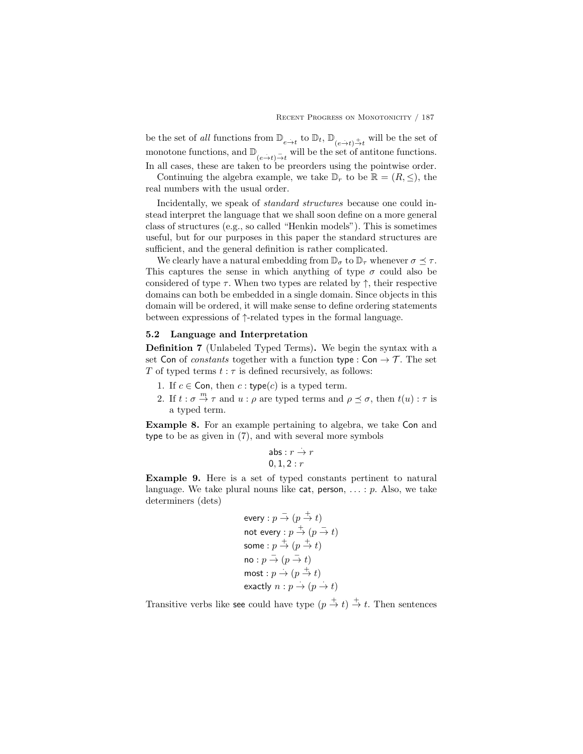be the set of *all* functions from  $\mathbb{D}_{e \to t}$  to  $\mathbb{D}_t$ ,  $\mathbb{D}_{(e \to t)^{\frac{1}{\gamma}}t}$  will be the set of monotone functions, and  $\mathbb{D}_{(e \to t)^{-1}}$  will be the set of antitone functions. In all cases, these are taken to be preorders using the pointwise order.

Continuing the algebra example, we take  $\mathbb{D}_r$  to be  $\mathbb{R} = (R, \leq)$ , the real numbers with the usual order.

Incidentally, we speak of *standard structures* because one could instead interpret the language that we shall soon define on a more general class of structures (e.g., so called "Henkin models"). This is sometimes useful, but for our purposes in this paper the standard structures are sufficient, and the general definition is rather complicated.

We clearly have a natural embedding from  $\mathbb{D}_{\sigma}$  to  $\mathbb{D}_{\tau}$  whenever  $\sigma \preceq \tau$ . This captures the sense in which anything of type  $\sigma$  could also be considered of type  $\tau$ . When two types are related by  $\uparrow$ , their respective domains can both be embedded in a single domain. Since objects in this domain will be ordered, it will make sense to define ordering statements between expressions of  $\uparrow$ -related types in the formal language.

# 5.2 Language and Interpretation

Definition 7 (Unlabeled Typed Terms). We begin the syntax with a set Con of *constants* together with a function type : Con  $\rightarrow \mathcal{T}$ . The set *T* of typed terms  $t : \tau$  is defined recursively, as follows:

- 1. If  $c \in \textsf{Con}$ , then  $c : \textsf{type}(c)$  is a typed term.
- 2. If  $t : \sigma \stackrel{m}{\to} \tau$  and  $u : \rho$  are typed terms and  $\rho \preceq \sigma$ , then  $t(u) : \tau$  is a typed term.

Example 8. For an example pertaining to algebra, we take Con and type to be as given in (7), and with several more symbols

$$
\begin{array}{l}\text{abs}: r \rightarrow r\\ \text{0}, 1, 2 : r\end{array}
$$

Example 9. Here is a set of typed constants pertinent to natural language. We take plural nouns like cat, person, *...* : *p*. Also, we take determiners (dets)

$$
\begin{array}{l} \mathsf{every}: p \stackrel{-}{\to} (p \stackrel{+}{\to} t) \\ \mathsf{not\ every}: p \stackrel{+}{\to} (p \stackrel{-}{\to} t) \\ \mathsf{some}: p \stackrel{+}{\to} (p \stackrel{+}{\to} t) \\ \mathsf{no}: p \stackrel{-}{\to} (p \stackrel{-}{\to} t) \\ \mathsf{most}: p \to (p \stackrel{+}{\to} t) \\ \mathsf{exactly}\ n: p \stackrel{-}{\to} (p \stackrel{+}{\to} t) \end{array}
$$

Transitive verbs like see could have type  $(p \stackrel{+}{\to} t) \stackrel{+}{\to} t$ . Then sentences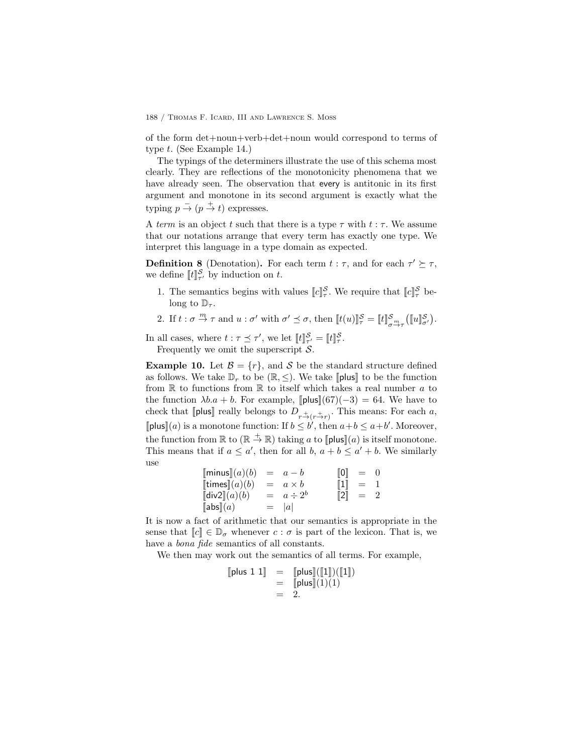of the form det+noun+verb+det+noun would correspond to terms of type *t*. (See Example 14.)

The typings of the determiners illustrate the use of this schema most clearly. They are reflections of the monotonicity phenomena that we have already seen. The observation that every is antitonic in its first argument and monotone in its second argument is exactly what the typing  $p \stackrel{-}{\rightarrow} (p \stackrel{+}{\rightarrow} t)$  expresses.

A *term* is an object *t* such that there is a type  $\tau$  with  $t : \tau$ . We assume that our notations arrange that every term has exactly one type. We interpret this language in a type domain as expected.

**Definition 8** (Denotation). For each term  $t : \tau$ , and for each  $\tau' \succeq \tau$ , we define  $[[t]]_{\tau'}^S$  by induction on *t*.

- 1. The semantics begins with values  $\llbracket c \rrbracket_{\tau}^{S}$ . We require that  $\llbracket c \rrbracket_{\tau}^{S}$  belong to  $\mathbb{D}_{\tau}$ .
- 2. If  $t : \sigma \stackrel{m}{\to} \tau$  and  $u : \sigma'$  with  $\sigma' \preceq \sigma$ , then  $[[t(u)]_{\tau}^S = [[t]]_{\sigma \stackrel{m}{\to} \tau}^S ([[u]]_{\sigma'}^S)$ .

In all cases, where  $t : \tau \preceq \tau'$ , we let  $[[t]]_{\tau'}^S = [[t]]_{\tau}^S$ .

Frequently we omit the superscript *S*.

**Example 10.** Let  $\mathcal{B} = \{r\}$ , and *S* be the standard structure defined as follows. We take  $\mathbb{D}_r$  to be  $(\mathbb{R}, \leq)$ . We take  $\llbracket \mathsf{plus} \rrbracket$  to be the function from R to functions from R to itself which takes a real number *a* to the function  $\lambda b.a + b$ . For example,  $\lceil \text{plus} \rceil(67)(-3) = 64$ . We have to check that  $[\text{plus}]$  really belongs to  $D_{r\to(r\to r)}$ . This means: For each *a*, [ $\lceil \text{plus} \rceil(a)$  is a monotone function: If  $b \leq b'$ , then  $a + b \leq a + b'$ . Moreover, the function from  $\mathbb R$  to  $(\mathbb R \stackrel{+}{\to} \mathbb R)$  taking *a* to  $[\text{plus}](a)$  is itself monotone. This means that if  $a \leq a'$ , then for all  $b, a + b \leq a' + b$ . We similarly use

| $\llbracket \mathsf{minus} \rrbracket(a)(b)$ | $= a - b$      | $\mathbb{I}$              | $= 0$ |  |
|----------------------------------------------|----------------|---------------------------|-------|--|
| $\llbracket$ times $\llbracket (a)(b)$       | $= a \times b$ | $\llbracket 1 \rrbracket$ | $=$   |  |
| $\llbracket \mathsf{div}2 \rrbracket(a)(b)$  | $= a \div 2^b$ | $\llbracket 2 \rrbracket$ | $= 2$ |  |
| $\llbracket \mathsf{abs} \rrbracket(a)$      | $=  a $        |                           |       |  |

It is now a fact of arithmetic that our semantics is appropriate in the sense that  $\llbracket c \rrbracket \in \mathbb{D}_{\sigma}$  whenever  $c : \sigma$  is part of the lexicon. That is, we have a *bona fide* semantics of all constants.

We then may work out the semantics of all terms. For example,

$$
\begin{array}{rcl}\n[\text{plus 1 1}] & = & [\text{plus}]([\![1]\!])([\![1]\!]) \\
 & = & [\![ \text{plus}](1)(1) \\
 & = & 2.\n\end{array}
$$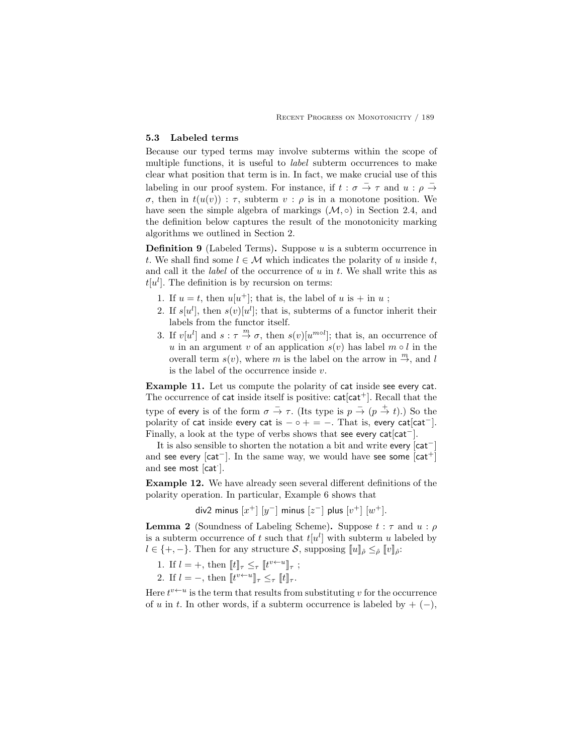#### 5.3 Labeled terms

Because our typed terms may involve subterms within the scope of multiple functions, it is useful to *label* subterm occurrences to make clear what position that term is in. In fact, we make crucial use of this labeling in our proof system. For instance, if  $t : \sigma \to \tau$  and  $u : \rho \to$  $\sigma$ , then in  $t(u(v))$ :  $\tau$ , subterm  $v : \rho$  is in a monotone position. We have seen the simple algebra of markings  $(M, \circ)$  in Section 2.4, and the definition below captures the result of the monotonicity marking algorithms we outlined in Section 2.

Definition 9 (Labeled Terms). Suppose *u* is a subterm occurrence in *t*. We shall find some  $l \in \mathcal{M}$  which indicates the polarity of *u* inside *t*, and call it the *label* of the occurrence of *u* in *t*. We shall write this as  $t[u^l]$ . The definition is by recursion on terms:

- 1. If  $u = t$ , then  $u[u^+]$ ; that is, the label of  $u$  is  $+$  in  $u$ ;
- 2. If  $s[u^l]$ , then  $s(v)[u^l]$ ; that is, subterms of a functor inherit their labels from the functor itself.
- 3. If  $v[u^l]$  and  $s : \tau \stackrel{m}{\to} \sigma$ , then  $s(v)[u^{mol}]$ ; that is, an occurrence of *u* in an argument *v* of an application  $s(v)$  has label  $m \circ l$  in the overall term  $s(v)$ , where *m* is the label on the arrow in  $\stackrel{m}{\rightarrow}$ , and *l* is the label of the occurrence inside *v*.

Example 11. Let us compute the polarity of cat inside see every cat. The occurrence of cat inside itself is positive:  $cat[cat^+]$ . Recall that the type of every is of the form  $\sigma \to \tau$ . (Its type is  $p \to (p \to t)$ .) So the polarity of cat inside every cat is  $-\circ + = -$ . That is, every cat[cat<sup>-</sup>]. Finally, a look at the type of verbs shows that see every  $cat[cat^{-}]$ .

It is also sensible to shorten the notation a bit and write every  $[cat]$ and see every  $\lceil \text{cat}^{-} \rceil$ . In the same way, we would have see some  $\lceil \text{cat}^{+} \rceil$ and see most [cat*·* ].

Example 12. We have already seen several different definitions of the polarity operation. In particular, Example 6 shows that

div2 minus 
$$
[x^+]
$$
  $[y^-]$  minus  $[z^-]$  plus  $[v^+]$   $[w^+]$ .

**Lemma 2** (Soundness of Labeling Scheme). Suppose  $t : \tau$  and  $u : \rho$ is a subterm occurrence of  $t$  such that  $t[u^l]$  with subterm  $u$  labeled by  $l \in \{+, -\}.$  Then for any structure *S*, supposing  $\llbracket u \rrbracket_{\hat{\rho}} \leq_{\hat{\rho}} \llbracket v \rrbracket_{\hat{\rho}}$ :

1. If  $l = +$ , then  $[[t]]_{\tau} \leq_{\tau} [[t^{v \leftarrow u}]]_{\tau}$ ;

2. If  $l = -$ , then  $[[t^{v \leftarrow u}]]_{\tau} \leq_{\tau} [[t]]_{\tau}$ .

Here  $t^{v \leftarrow u}$  is the term that results from substituting *v* for the occurrence of *u* in *t*. In other words, if a subterm occurrence is labeled by  $+ (-)$ ,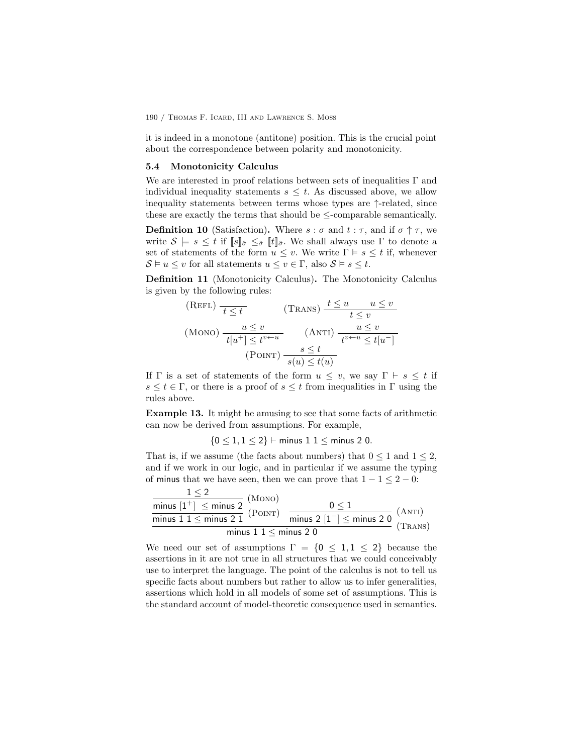it is indeed in a monotone (antitone) position. This is the crucial point about the correspondence between polarity and monotonicity.

### 5.4 Monotonicity Calculus

We are interested in proof relations between sets of inequalities  $\Gamma$  and individual inequality statements  $s \leq t$ . As discussed above, we allow inequality statements between terms whose types are  $\uparrow$ -related, since these are exactly the terms that should be  $\leq$ -comparable semantically.

**Definition 10** (Satisfaction). Where  $s : \sigma$  and  $t : \tau$ , and if  $\sigma \uparrow \tau$ , we write  $S \models s \leq t$  if  $[s]_{\hat{\sigma}} \leq_{\hat{\sigma}} [t]_{\hat{\sigma}}$ . We shall always use  $\Gamma$  to denote a set of statements of the form  $u \leq v$ . We write  $\Gamma \models s \leq t$  if, whenever  $\mathcal{S} \models u \leq v$  for all statements  $u \leq v \in \Gamma$ , also  $\mathcal{S} \models s \leq t$ .

Definition 11 (Monotonicity Calculus). The Monotonicity Calculus is given by the following rules:

(REFL) 
$$
\overline{t \le t}
$$
 (Trans)  $\frac{t \le u - u \le v}{t \le v}$   
\n(Mono)  $\frac{u \le v}{t[u^+] \le t^{v \leftarrow u}}$  (ANT)  $\frac{u \le v}{t^{v \leftarrow u} \le t[u^-]}$   
\n(PONT)  $\frac{s \le t}{s(u) \le t(u)}$ 

If  $\Gamma$  is a set of statements of the form  $u \leq v$ , we say  $\Gamma \vdash s \leq t$  if  $s \leq t \in \Gamma$ , or there is a proof of  $s \leq t$  from inequalities in  $\Gamma$  using the rules above.

Example 13. It might be amusing to see that some facts of arithmetic can now be derived from assumptions. For example,

$$
{0 \le 1, 1 \le 2} \vdash minus 1 1 \le minus 2 0.
$$

That is, if we assume (the facts about numbers) that  $0 \leq 1$  and  $1 \leq 2$ , and if we work in our logic, and in particular if we assume the typing of minus that we have seen, then we can prove that  $1 - 1 \leq 2 - 0$ :

$$
\frac{1 \leq 2}{\frac{\text{minus }[1^+]}{\text{minus }1 \leq \text{minus }2}} \left(\begin{matrix} \text{Moon} \\ \text{PONT} \end{matrix}\right) \xrightarrow[\text{minus }1]{} \frac{0 \leq 1}{\text{minus }2 \cdot 0} \left(\begin{matrix} \text{ANTI} \\ \text{RANTI} \end{matrix}\right) \xrightarrow[\text{minus }1]{} \frac{0 \leq \text{max }2 \cdot 1}{\text{minus }2 \cdot 0} \left(\begin{matrix} \text{ANTI} \\ \text{TRANS} \end{matrix}\right)
$$

We need our set of assumptions  $\Gamma = \{0 \leq 1, 1 \leq 2\}$  because the assertions in it are not true in all structures that we could conceivably use to interpret the language. The point of the calculus is not to tell us specific facts about numbers but rather to allow us to infer generalities, assertions which hold in all models of some set of assumptions. This is the standard account of model-theoretic consequence used in semantics.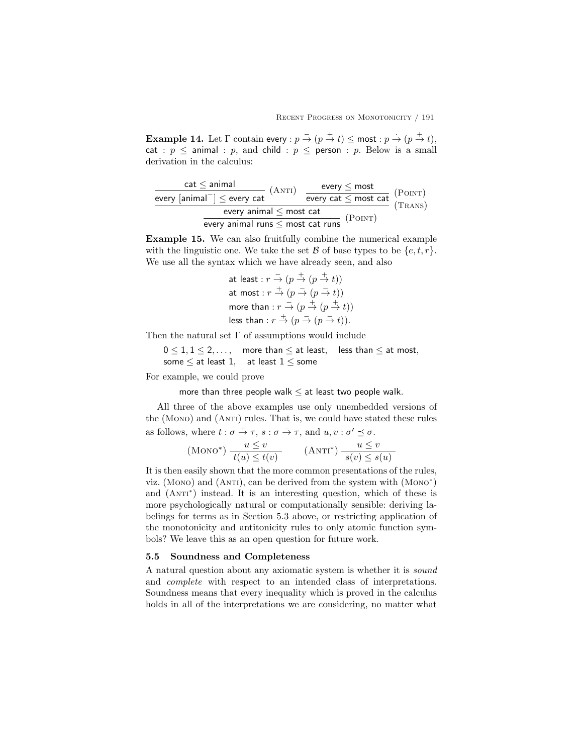**Example 14.** Let  $\Gamma$  contain every :  $p \to (p \stackrel{+}{\to} t) \le \text{most} : p \to (p \stackrel{+}{\to} t)$ , cat :  $p \le$  animal :  $p$ , and child :  $p \le$  person :  $p$ . Below is a small derivation in the calculus:

| $cat <$ animal<br>(ANTI)                      | every $\leq$ most                                 |                    |
|-----------------------------------------------|---------------------------------------------------|--------------------|
| every $[animal^-] \le$ every cat              | $\frac{1}{\text{every cat} \leq \text{most cat}}$ | (POINT)<br>(TRANS) |
| every animal $\leq$ most cat<br>$($ POINT $)$ |                                                   |                    |
| every animal runs $\leq$ most cat runs        |                                                   |                    |

Example 15. We can also fruitfully combine the numerical example with the linguistic one. We take the set  $\mathcal{B}$  of base types to be  $\{e, t, r\}$ . We use all the syntax which we have already seen, and also

at least : 
$$
r \stackrel{\frown}{\rightarrow} (p \stackrel{+}{\rightarrow} (p \stackrel{+}{\rightarrow} t))
$$
  
at most :  $r \stackrel{+}{\rightarrow} (p \stackrel{\frown}{\rightarrow} (p \stackrel{\frown}{\rightarrow} t))$   
more than :  $r \stackrel{\frown}{\rightarrow} (p \stackrel{+}{\rightarrow} (p \stackrel{+}{\rightarrow} t))$   
less than :  $r \stackrel{+}{\rightarrow} (p \stackrel{\frown}{\rightarrow} (p \stackrel{\frown}{\rightarrow} t))$ .

Then the natural set  $\Gamma$  of assumptions would include

 $0 \leq 1, 1 \leq 2, \ldots$ , more than  $\leq$  at least, less than  $\leq$  at most, some  $\leq$  at least 1, at least  $1 \leq$  some

For example, we could prove

more than three people walk  $\leq$  at least two people walk.

All three of the above examples use only unembedded versions of the (Mono) and (ANTI) rules. That is, we could have stated these rules as follows, where  $t : \sigma \stackrel{+}{\rightarrow} \tau$ ,  $s : \sigma \stackrel{-}{\rightarrow} \tau$ , and  $u, v : \sigma' \preceq \sigma$ .

$$
(\text{MONO*}) \frac{u \le v}{t(u) \le t(v)} \qquad (\text{ANTI*}) \frac{u \le v}{s(v) \le s(u)}
$$

It is then easily shown that the more common presentations of the rules, viz. (Mono) and (Anti), can be derived from the system with  $(Mono^*)$ and  $(ANTI^*)$  instead. It is an interesting question, which of these is more psychologically natural or computationally sensible: deriving labelings for terms as in Section 5.3 above, or restricting application of the monotonicity and antitonicity rules to only atomic function symbols? We leave this as an open question for future work.

# 5.5 Soundness and Completeness

A natural question about any axiomatic system is whether it is *sound* and *complete* with respect to an intended class of interpretations. Soundness means that every inequality which is proved in the calculus holds in all of the interpretations we are considering, no matter what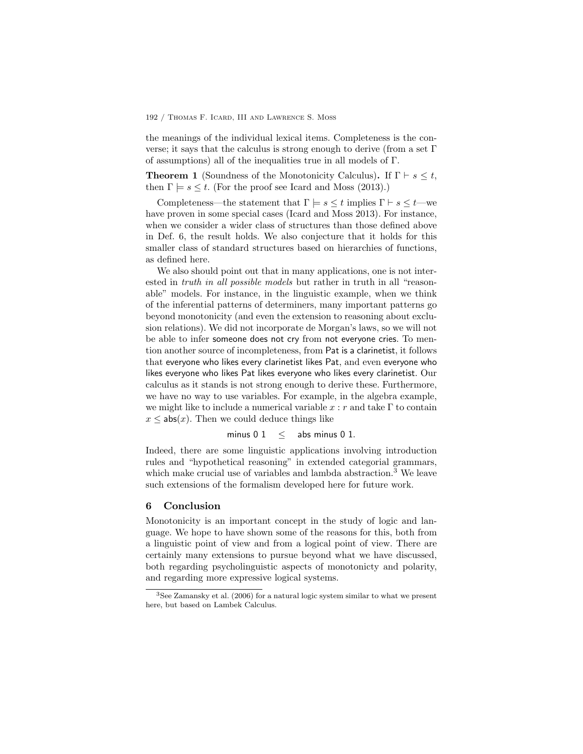the meanings of the individual lexical items. Completeness is the converse; it says that the calculus is strong enough to derive (from a set  $\Gamma$ ) of assumptions) all of the inequalities true in all models of  $\Gamma$ .

**Theorem 1** (Soundness of the Monotonicity Calculus). If  $\Gamma \vdash s \leq t$ , then  $\Gamma \models s \leq t$ . (For the proof see Icard and Moss (2013).)

Completeness—the statement that  $\Gamma \models s \leq t$  implies  $\Gamma \vdash s \leq t$ —we have proven in some special cases (Icard and Moss 2013). For instance, when we consider a wider class of structures than those defined above in Def. 6, the result holds. We also conjecture that it holds for this smaller class of standard structures based on hierarchies of functions, as defined here.

We also should point out that in many applications, one is not interested in *truth in all possible models* but rather in truth in all "reasonable" models. For instance, in the linguistic example, when we think of the inferential patterns of determiners, many important patterns go beyond monotonicity (and even the extension to reasoning about exclusion relations). We did not incorporate de Morgan's laws, so we will not be able to infer someone does not cry from not everyone cries. To mention another source of incompleteness, from Pat is a clarinetist, it follows that everyone who likes every clarinetist likes Pat, and even everyone who likes everyone who likes Pat likes everyone who likes every clarinetist. Our calculus as it stands is not strong enough to derive these. Furthermore, we have no way to use variables. For example, in the algebra example, we might like to include a numerical variable  $x : r$  and take  $\Gamma$  to contain  $x \leq abs(x)$ . Then we could deduce things like

minus  $0 1 \leq$  abs minus  $0 1$ .

Indeed, there are some linguistic applications involving introduction rules and "hypothetical reasoning" in extended categorial grammars, which make crucial use of variables and lambda abstraction.<sup>3</sup> We leave such extensions of the formalism developed here for future work.

## 6 Conclusion

Monotonicity is an important concept in the study of logic and language. We hope to have shown some of the reasons for this, both from a linguistic point of view and from a logical point of view. There are certainly many extensions to pursue beyond what we have discussed, both regarding psycholinguistic aspects of monotonicty and polarity, and regarding more expressive logical systems.

<sup>3</sup>See Zamansky et al. (2006) for a natural logic system similar to what we present here, but based on Lambek Calculus.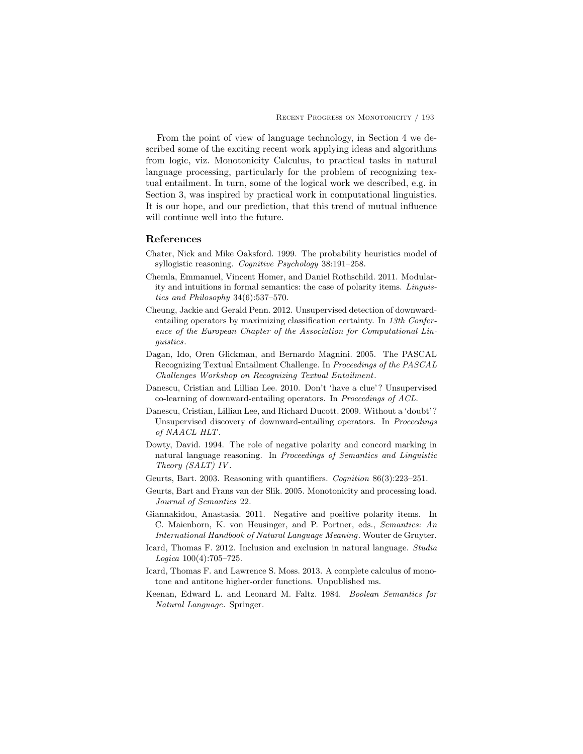From the point of view of language technology, in Section 4 we described some of the exciting recent work applying ideas and algorithms from logic, viz. Monotonicity Calculus, to practical tasks in natural language processing, particularly for the problem of recognizing textual entailment. In turn, some of the logical work we described, e.g. in Section 3, was inspired by practical work in computational linguistics. It is our hope, and our prediction, that this trend of mutual influence will continue well into the future.

#### References

- Chater, Nick and Mike Oaksford. 1999. The probability heuristics model of syllogistic reasoning. *Cognitive Psychology* 38:191–258.
- Chemla, Emmanuel, Vincent Homer, and Daniel Rothschild. 2011. Modularity and intuitions in formal semantics: the case of polarity items. *Linguistics and Philosophy* 34(6):537–570.
- Cheung, Jackie and Gerald Penn. 2012. Unsupervised detection of downwardentailing operators by maximizing classification certainty. In *13th Conference of the European Chapter of the Association for Computational Linguistics*.
- Dagan, Ido, Oren Glickman, and Bernardo Magnini. 2005. The PASCAL Recognizing Textual Entailment Challenge. In *Proceedings of the PASCAL Challenges Workshop on Recognizing Textual Entailment*.
- Danescu, Cristian and Lillian Lee. 2010. Don't 'have a clue'? Unsupervised co-learning of downward-entailing operators. In *Proceedings of ACL*.
- Danescu, Cristian, Lillian Lee, and Richard Ducott. 2009. Without a 'doubt'? Unsupervised discovery of downward-entailing operators. In *Proceedings of NAACL HLT*.
- Dowty, David. 1994. The role of negative polarity and concord marking in natural language reasoning. In *Proceedings of Semantics and Linguistic Theory (SALT) IV* .
- Geurts, Bart. 2003. Reasoning with quantifiers. *Cognition* 86(3):223–251.
- Geurts, Bart and Frans van der Slik. 2005. Monotonicity and processing load. *Journal of Semantics* 22.
- Giannakidou, Anastasia. 2011. Negative and positive polarity items. In C. Maienborn, K. von Heusinger, and P. Portner, eds., *Semantics: An International Handbook of Natural Language Meaning*. Wouter de Gruyter.
- Icard, Thomas F. 2012. Inclusion and exclusion in natural language. *Studia Logica* 100(4):705–725.
- Icard, Thomas F. and Lawrence S. Moss. 2013. A complete calculus of monotone and antitone higher-order functions. Unpublished ms.
- Keenan, Edward L. and Leonard M. Faltz. 1984. *Boolean Semantics for Natural Language*. Springer.